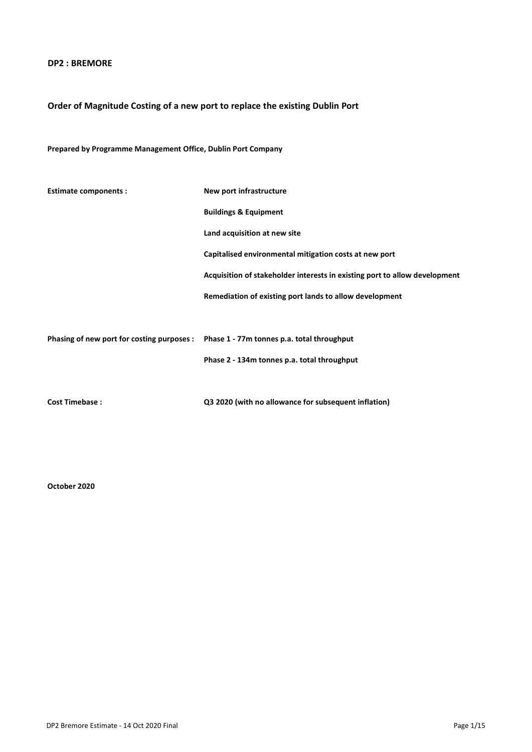## DP2 : BREMORE

# Order of Magnitude Costing of a new port to replace the existing Dublin Port

# Prepared by Programme Management Office, Dublin Port Company

| <b>Estimate components:</b>                                                           | New port infrastructure                                                    |
|---------------------------------------------------------------------------------------|----------------------------------------------------------------------------|
|                                                                                       | <b>Buildings &amp; Equipment</b>                                           |
|                                                                                       | Land acquisition at new site                                               |
|                                                                                       | Capitalised environmental mitigation costs at new port                     |
|                                                                                       | Acquisition of stakeholder interests in existing port to allow development |
|                                                                                       | Remediation of existing port lands to allow development                    |
|                                                                                       |                                                                            |
| Phasing of new port for costing purposes : Phase 1 - 77m tonnes p.a. total throughput |                                                                            |
|                                                                                       | Phase 2 - 134m tonnes p.a. total throughput                                |
|                                                                                       |                                                                            |
| <b>Cost Timebase:</b>                                                                 | Q3 2020 (with no allowance for subsequent inflation)                       |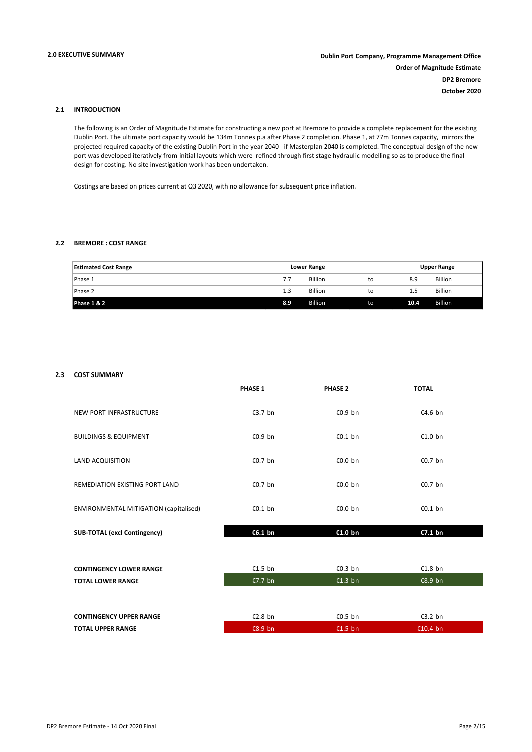### 2.1 INTRODUCTION

The following is an Order of Magnitude Estimate for constructing a new port at Bremore to provide a complete replacement for the existing Dublin Port. The ultimate port capacity would be 134m Tonnes p.a after Phase 2 completion. Phase 1, at 77m Tonnes capacity, mirrors the projected required capacity of the existing Dublin Port in the year 2040 - if Masterplan 2040 is completed. The conceptual design of the new port was developed iteratively from initial layouts which were refined through first stage hydraulic modelling so as to produce the final design for costing. No site investigation work has been undertaken.

Costings are based on prices current at Q3 2020, with no allowance for subsequent price inflation.

### 2.2 BREMORE : COST RANGE

| <b>Estimated Cost Range</b> | <b>Lower Range</b> |                |    |      | <b>Upper Range</b> |
|-----------------------------|--------------------|----------------|----|------|--------------------|
| Phase 1                     | 7.7                | <b>Billion</b> | to | 8.9  | <b>Billion</b>     |
| Phase 2                     | 1.3                | <b>Billion</b> | to | 1.5  | <b>Billion</b>     |
| <b>Phase 1 &amp; 2</b>      | 8.9                | <b>Billion</b> | to | 10.4 | <b>Billion</b>     |

### 2.3 COST SUMMARY

|                                        | PHASE 1 | <b>PHASE 2</b> | <b>TOTAL</b> |  |
|----------------------------------------|---------|----------------|--------------|--|
| NEW PORT INFRASTRUCTURE                | €3.7 bn | €0.9 bn        | €4.6 bn      |  |
| <b>BUILDINGS &amp; EQUIPMENT</b>       | €0.9 bn | €0.1 bn        | €1.0 bn      |  |
| LAND ACQUISITION                       | €0.7 bn | €0.0 bn        | €0.7 bn      |  |
| REMEDIATION EXISTING PORT LAND         | €0.7 bn | €0.0 bn        | €0.7 bn      |  |
| ENVIRONMENTAL MITIGATION (capitalised) | €0.1 bn | €0.0 bn        | €0.1 bn      |  |
| <b>SUB-TOTAL (excl Contingency)</b>    | €6.1 bn | €1.0 bn        | €7.1 bn      |  |
|                                        |         |                |              |  |
| <b>CONTINGENCY LOWER RANGE</b>         | €1.5 bn | €0.3 bn        | €1.8 bn      |  |
| <b>TOTAL LOWER RANGE</b>               | €7.7 bn | €1.3 bn        | €8.9 bn      |  |
|                                        |         |                |              |  |
| <b>CONTINGENCY UPPER RANGE</b>         | €2.8 bn | €0.5 bn        | €3.2 bn      |  |
| <b>TOTAL UPPER RANGE</b>               | €8.9 bn | €1.5 bn        | €10.4 bn     |  |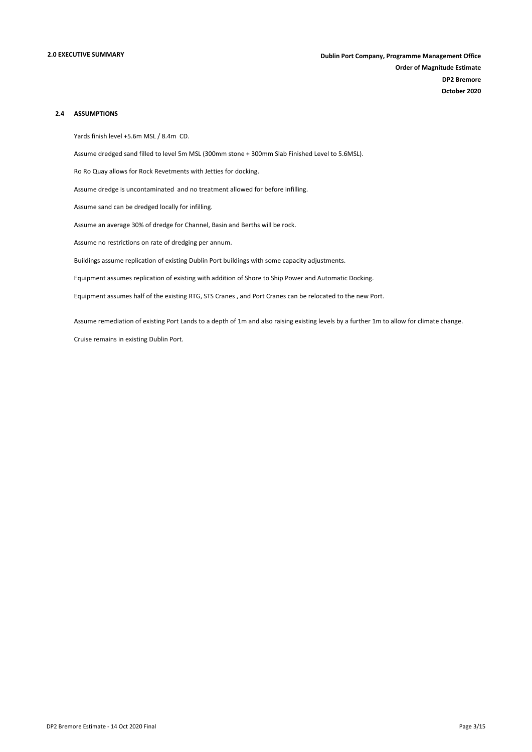### 2.4 ASSUMPTIONS

Yards finish level +5.6m MSL / 8.4m CD.

Assume dredged sand filled to level 5m MSL (300mm stone + 300mm Slab Finished Level to 5.6MSL).

Ro Ro Quay allows for Rock Revetments with Jetties for docking.

Assume dredge is uncontaminated and no treatment allowed for before infilling.

Assume sand can be dredged locally for infilling.

Assume an average 30% of dredge for Channel, Basin and Berths will be rock.

Assume no restrictions on rate of dredging per annum.

Buildings assume replication of existing Dublin Port buildings with some capacity adjustments.

Equipment assumes replication of existing with addition of Shore to Ship Power and Automatic Docking.

Equipment assumes half of the existing RTG, STS Cranes , and Port Cranes can be relocated to the new Port.

Assume remediation of existing Port Lands to a depth of 1m and also raising existing levels by a further 1m to allow for climate change.

Cruise remains in existing Dublin Port.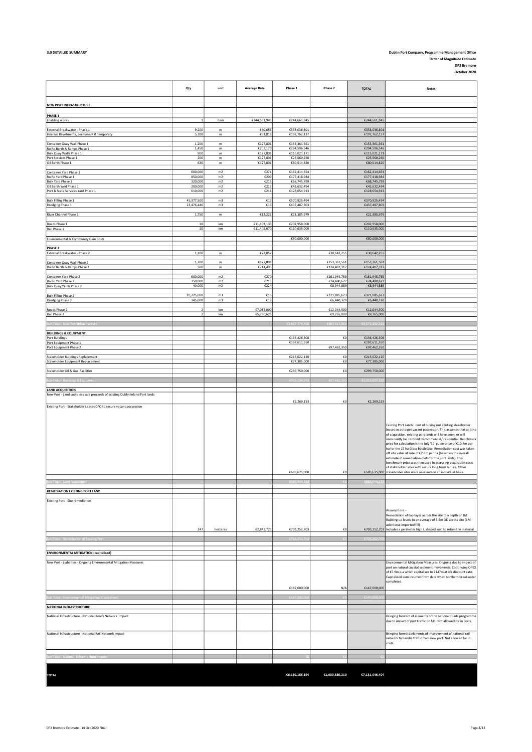# 3.0 DETAILED SUMMARY Dublin Port Company, Programme Management Office Order of Magnitude Estimate DP2 Bremore October 2020

|                                                                               | Qty                              | unit                       | <b>Average Rate</b>        | Phase 1                      | Phase 2                   | <b>TOTAL</b>                 | <b>Notes</b>                                                                                                                                                                                                                                                                                                                                                                                                                                                                                                                                                                                                                                                                                                                        |
|-------------------------------------------------------------------------------|----------------------------------|----------------------------|----------------------------|------------------------------|---------------------------|------------------------------|-------------------------------------------------------------------------------------------------------------------------------------------------------------------------------------------------------------------------------------------------------------------------------------------------------------------------------------------------------------------------------------------------------------------------------------------------------------------------------------------------------------------------------------------------------------------------------------------------------------------------------------------------------------------------------------------------------------------------------------|
| NEW PORT INFRASTRUCTURE                                                       |                                  |                            |                            |                              |                           |                              |                                                                                                                                                                                                                                                                                                                                                                                                                                                                                                                                                                                                                                                                                                                                     |
| PHASE 1                                                                       |                                  |                            |                            |                              |                           |                              |                                                                                                                                                                                                                                                                                                                                                                                                                                                                                                                                                                                                                                                                                                                                     |
| <b>Enabling works</b>                                                         | $\,$ 1                           | item                       | €244,661,945               | €244,661,945                 |                           | €244,661,945                 |                                                                                                                                                                                                                                                                                                                                                                                                                                                                                                                                                                                                                                                                                                                                     |
| External Breakwater - Phase 1                                                 | 9,200                            | ${\mathsf m}$<br>${\sf m}$ | €60,656                    | €558,036,801                 |                           | €558,036,801                 |                                                                                                                                                                                                                                                                                                                                                                                                                                                                                                                                                                                                                                                                                                                                     |
| Internal Revetments, permanent & temporary                                    | 5,700                            |                            | €33,818                    | €192,762,137                 |                           | €192,762,137                 |                                                                                                                                                                                                                                                                                                                                                                                                                                                                                                                                                                                                                                                                                                                                     |
| Container Quay Wall Phase 1<br>Ro Ro Berth & Ramps Phase 1                    | 1,200<br>1,450                   | m<br>m                     | €127,801<br>€203,170       | €153,361,561<br>€294,596,546 |                           | €153,361,561<br>€294,596,546 |                                                                                                                                                                                                                                                                                                                                                                                                                                                                                                                                                                                                                                                                                                                                     |
| Bulk Quay Walls Phase 1<br>Port Services Phase 1                              | 900<br>200                       | m<br>${\mathsf m}$         | €127,801<br>€127,801       | €115,021,171<br>€25,560,260  |                           | €115,021,171<br>€25,560,260  |                                                                                                                                                                                                                                                                                                                                                                                                                                                                                                                                                                                                                                                                                                                                     |
| Oil Berth Phase 1                                                             | 630                              | m                          | €127,801                   | €80,514,820                  |                           | €80,514,820                  |                                                                                                                                                                                                                                                                                                                                                                                                                                                                                                                                                                                                                                                                                                                                     |
| Container Yard Phase 1<br>Ro Ro Yard Phase 1                                  | 600,000<br>850,000               | m2<br>m2                   | €271<br>€209               | €162,414,654<br>€177,418,984 |                           | €162,414,654<br>€177,418,984 |                                                                                                                                                                                                                                                                                                                                                                                                                                                                                                                                                                                                                                                                                                                                     |
| <b>Bulk Yard Phase 1</b><br>Oil Berth Yard Phase 1                            | 320,000<br>200,000               | m2<br>m2                   | €215<br>€213               | €68,745,799<br>€42,632,494   |                           | €68,745,799<br>€42,632,494   |                                                                                                                                                                                                                                                                                                                                                                                                                                                                                                                                                                                                                                                                                                                                     |
| Port & State Services Yard Phase 1                                            | 610,000                          | m2                         | €211                       | €128,654,913                 |                           | €128,654,913                 |                                                                                                                                                                                                                                                                                                                                                                                                                                                                                                                                                                                                                                                                                                                                     |
| <b>Bulk Filling Phase 1</b>                                                   | 45,377,500                       | m <sub>3</sub>             | €13                        | €570,925,494                 |                           | €570,925,494                 |                                                                                                                                                                                                                                                                                                                                                                                                                                                                                                                                                                                                                                                                                                                                     |
| Dredging Phase 1                                                              | 23,476,440                       | m3                         | $\epsilon$ 19              | €437,487,803                 |                           | €437,487,803                 |                                                                                                                                                                                                                                                                                                                                                                                                                                                                                                                                                                                                                                                                                                                                     |
| River Channel Phase 1                                                         | 1,750                            | m                          | €12,221                    | €21,385,979                  |                           | €21,385,979                  |                                                                                                                                                                                                                                                                                                                                                                                                                                                                                                                                                                                                                                                                                                                                     |
| Roads Phase 1<br>Rail Phase 1                                                 | $18\,$<br>10                     | km<br>km                   | €11,402,135<br>€11,405,670 | €202,958,000<br>€110,635,000 |                           | €202,958,000<br>€110,635,000 |                                                                                                                                                                                                                                                                                                                                                                                                                                                                                                                                                                                                                                                                                                                                     |
|                                                                               |                                  |                            |                            |                              |                           |                              |                                                                                                                                                                                                                                                                                                                                                                                                                                                                                                                                                                                                                                                                                                                                     |
| Environmental & Community Gain Costs                                          |                                  |                            |                            | €80,000,000                  |                           | €80,000,000                  |                                                                                                                                                                                                                                                                                                                                                                                                                                                                                                                                                                                                                                                                                                                                     |
| <b>PHASE 2</b><br>External Breakwater - Phase 2                               | 1,100                            | ${\mathsf m}$              | €27,857                    |                              | €30,642,255               | €30,642,255                  |                                                                                                                                                                                                                                                                                                                                                                                                                                                                                                                                                                                                                                                                                                                                     |
| Container Quay Wall Phase 2                                                   | 1,200                            | ${\mathsf m}$              | €127,801                   |                              | €153,361,561              | €153,361,561                 |                                                                                                                                                                                                                                                                                                                                                                                                                                                                                                                                                                                                                                                                                                                                     |
| Ro Ro Berth & Ramps Phase 2                                                   | 580                              | m                          | €214,495                   |                              | €124,407,317              | €124,407,317                 |                                                                                                                                                                                                                                                                                                                                                                                                                                                                                                                                                                                                                                                                                                                                     |
| Container Yard Phase 2                                                        | 600,000                          | m2                         | €270                       |                              | €161,945,769              | €161,945,769                 |                                                                                                                                                                                                                                                                                                                                                                                                                                                                                                                                                                                                                                                                                                                                     |
| Ro Ro Yard Phase 2<br>Bulk Quay Yards Phase 2                                 | 350,000<br>40,000                | m2<br>m2                   | €213<br>€224               |                              | €74,480,627<br>€8,944,889 | €74,480,627<br>€8,944,889    |                                                                                                                                                                                                                                                                                                                                                                                                                                                                                                                                                                                                                                                                                                                                     |
| <b>Bulk Filling Phase 2</b>                                                   | 20,725,000                       | m3                         | £16                        |                              | €321,885,623              | €321,885,623                 |                                                                                                                                                                                                                                                                                                                                                                                                                                                                                                                                                                                                                                                                                                                                     |
| Dredging Phase 2                                                              | 345,600                          | m3                         | $\epsilon$ 19              |                              | €6,440,320                | €6,440,320                   |                                                                                                                                                                                                                                                                                                                                                                                                                                                                                                                                                                                                                                                                                                                                     |
| Roads Phase 2                                                                 | $\overline{2}$<br>$\overline{2}$ | km<br>km                   | €7,085,000<br>€5,790,625   |                              | €12,044,500<br>€9,265,000 | €12,044,500<br>€9,265,000    |                                                                                                                                                                                                                                                                                                                                                                                                                                                                                                                                                                                                                                                                                                                                     |
| Rail Phase 2                                                                  |                                  |                            |                            |                              |                           |                              |                                                                                                                                                                                                                                                                                                                                                                                                                                                                                                                                                                                                                                                                                                                                     |
|                                                                               |                                  |                            |                            |                              |                           |                              |                                                                                                                                                                                                                                                                                                                                                                                                                                                                                                                                                                                                                                                                                                                                     |
| <b>BUILDINGS &amp; EQUIPMENT</b><br>Port Buildings                            |                                  |                            |                            | €136,426,308                 | €0                        | €136,426,308                 |                                                                                                                                                                                                                                                                                                                                                                                                                                                                                                                                                                                                                                                                                                                                     |
| Port Equipment Phase 1<br>Port Equipment Phase 2                              |                                  |                            |                            | €197,611,550                 | €97,462,350               | €197,611,550<br>€97,462,350  |                                                                                                                                                                                                                                                                                                                                                                                                                                                                                                                                                                                                                                                                                                                                     |
|                                                                               |                                  |                            |                            | €215,022,120                 | €0                        | €215,022,120                 |                                                                                                                                                                                                                                                                                                                                                                                                                                                                                                                                                                                                                                                                                                                                     |
| <b>Stakeholder Buildings Replacement</b><br>Stakeholder Equipment Replacement |                                  |                            |                            | €77,385,000                  | €0                        | €77,385,000                  |                                                                                                                                                                                                                                                                                                                                                                                                                                                                                                                                                                                                                                                                                                                                     |
| Stakeholder Oil & Gas Facilities                                              |                                  |                            |                            | €299,750,000                 | €0                        | €299,750,000                 |                                                                                                                                                                                                                                                                                                                                                                                                                                                                                                                                                                                                                                                                                                                                     |
|                                                                               |                                  |                            |                            |                              |                           | €1.023.65                    |                                                                                                                                                                                                                                                                                                                                                                                                                                                                                                                                                                                                                                                                                                                                     |
| <b>LAND ACQUISITION</b>                                                       |                                  |                            |                            |                              |                           |                              |                                                                                                                                                                                                                                                                                                                                                                                                                                                                                                                                                                                                                                                                                                                                     |
| New Port - Land costs less sale proceeds of existing Dublin Inland Port lands |                                  |                            |                            |                              |                           |                              |                                                                                                                                                                                                                                                                                                                                                                                                                                                                                                                                                                                                                                                                                                                                     |
| Existing Port - Stakeholder Leases CPO to secure vacant possession            |                                  |                            |                            | €2,269,153                   | €0                        | €2,269,153                   |                                                                                                                                                                                                                                                                                                                                                                                                                                                                                                                                                                                                                                                                                                                                     |
|                                                                               |                                  |                            |                            | €683,675,000                 | €0                        |                              | Existing Port Lands: cost of buying out existing stakeholder<br>leases so as to get vacant possession. This assumes that at time<br>of acquisition, existing port lands will have been, or will<br>imminently be, rezoned to commercial/ residential. Benchmark<br>price for calculation is the July '19 guide price of €10.4m per<br>ha for the 15 ha Glass Bottle Site. Remediation cost was taken<br>off site value at rate of €2.8m per ha (based on the overall<br>estimate of remediation costs for the port lands). This<br>benchmark price was then used in assessing acquisition costs<br>of stakeholder sites with secure long term tenure. Other<br>€683,675,000 stakeholder sites were assessed on an individual basis. |
|                                                                               |                                  |                            |                            |                              |                           |                              |                                                                                                                                                                                                                                                                                                                                                                                                                                                                                                                                                                                                                                                                                                                                     |
| REMEDIATION EXISTING PORT LAND                                                |                                  |                            |                            |                              |                           |                              |                                                                                                                                                                                                                                                                                                                                                                                                                                                                                                                                                                                                                                                                                                                                     |
| Existing Port - Site remediation                                              | 247                              | hectares                   | €2,843,723                 | €703,252,703                 | €0                        |                              | Assumptions:-<br>Remediation of top layer across the site to a depth of 1M<br>Building up levels to an average of 5.5m OD across site (1M<br>additional imported fill)<br>€703,252,703 Includes a perimeter high L shaped wall to retain the material                                                                                                                                                                                                                                                                                                                                                                                                                                                                               |
|                                                                               |                                  |                            |                            |                              |                           |                              |                                                                                                                                                                                                                                                                                                                                                                                                                                                                                                                                                                                                                                                                                                                                     |
| <b>ENVIRONMENTAL MITIGATION (capitalised)</b>                                 |                                  |                            |                            |                              |                           |                              |                                                                                                                                                                                                                                                                                                                                                                                                                                                                                                                                                                                                                                                                                                                                     |
| New Port - Liabilities - Ongoing Environmental Mitigation Measures            |                                  |                            |                            |                              |                           |                              | Environmental Mitigation Measures. Ongoing due to impact of<br>port on natural coastal sediment movements. Continuing OPEX<br>of €5.9m p.a which capitalises to €147m at 4% discount rate.<br>Capitalised sum incurred from date when northern breakwater<br>completed.                                                                                                                                                                                                                                                                                                                                                                                                                                                             |
|                                                                               |                                  |                            |                            | €147,000,000                 | N/A                       | €147,000,000                 |                                                                                                                                                                                                                                                                                                                                                                                                                                                                                                                                                                                                                                                                                                                                     |
|                                                                               |                                  |                            |                            |                              |                           | €147,000,                    |                                                                                                                                                                                                                                                                                                                                                                                                                                                                                                                                                                                                                                                                                                                                     |
| NATIONAL INFRASTRUCTURE                                                       |                                  |                            |                            |                              |                           |                              |                                                                                                                                                                                                                                                                                                                                                                                                                                                                                                                                                                                                                                                                                                                                     |
| National Infrastructure - National Roads Network Impact                       |                                  |                            |                            |                              |                           |                              | Bringing forward of elements of the national roads programme<br>due to impact of port traffic on M1. Not allowed for in costs.                                                                                                                                                                                                                                                                                                                                                                                                                                                                                                                                                                                                      |
| National Infrastructure - National Rail Network Impact                        |                                  |                            |                            |                              |                           |                              | Bringing forward elements of improvement of national rail<br>network to handle traffic from new port. Not allowed for in<br>costs.                                                                                                                                                                                                                                                                                                                                                                                                                                                                                                                                                                                                  |
|                                                                               |                                  |                            |                            |                              |                           |                              |                                                                                                                                                                                                                                                                                                                                                                                                                                                                                                                                                                                                                                                                                                                                     |
|                                                                               |                                  |                            |                            |                              |                           |                              |                                                                                                                                                                                                                                                                                                                                                                                                                                                                                                                                                                                                                                                                                                                                     |
| <b>TOTAL</b>                                                                  |                                  |                            |                            | €6,130,166,194               | €1,000,880,210            | €7,131,046,404               |                                                                                                                                                                                                                                                                                                                                                                                                                                                                                                                                                                                                                                                                                                                                     |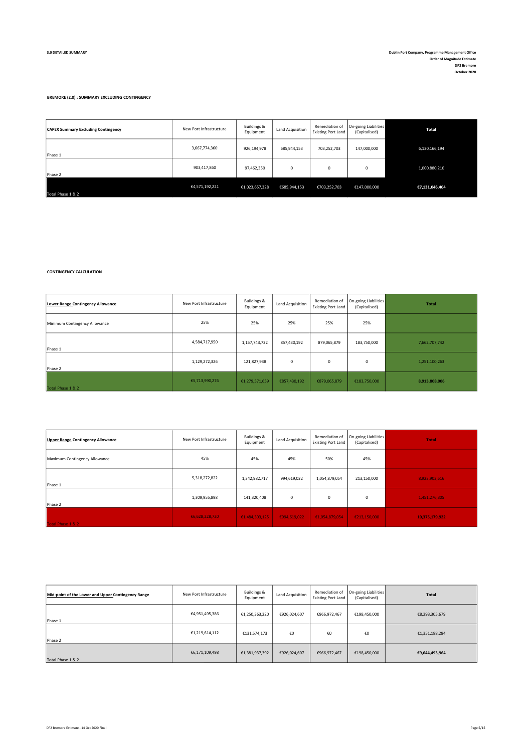### BREMORE (2.0) : SUMMARY EXCLUDING CONTINGENCY

| <b>CAPEX Summary Excluding Contingency</b> | New Port Infrastructure | Buildings &<br>Equipment | Land Acquisition | Remediation of<br><b>Existing Port Land</b> | <b>On-going Liabilities</b><br>(Capitalised) | Total          |
|--------------------------------------------|-------------------------|--------------------------|------------------|---------------------------------------------|----------------------------------------------|----------------|
| Phase 1                                    | 3,667,774,360           | 926,194,978              | 685,944,153      | 703,252,703                                 | 147,000,000                                  | 6,130,166,194  |
| Phase 2                                    | 903,417,860             | 97,462,350               | $\mathbf 0$      | $\mathbf 0$                                 | 0                                            | 1,000,880,210  |
| Total Phase 1 & 2                          | €4,571,192,221          | €1,023,657,328           | €685,944,153     | €703,252,703                                | €147,000,000                                 | €7,131,046,404 |

CONTINGENCY CALCULATION

| Lower Range Contingency Allowance | New Port Infrastructure | Buildings &<br>Equipment | Land Acquisition | Remediation of<br><b>Existing Port Land</b> | On-going Liabilities<br>(Capitalised) | Total         |
|-----------------------------------|-------------------------|--------------------------|------------------|---------------------------------------------|---------------------------------------|---------------|
| Minimum Contingency Allowance     | 25%                     | 25%                      | 25%              | 25%                                         | 25%                                   |               |
| Phase 1                           | 4,584,717,950           | 1,157,743,722            | 857,430,192      | 879,065,879                                 | 183,750,000                           | 7,662,707,742 |
| Phase 2                           | 1,129,272,326           | 121,827,938              | $\mathbf 0$      | 0                                           | 0                                     | 1,251,100,263 |
| Total Phase 1 & 2                 | €5,713,990,276          | €1,279,571,659           | €857,430,192     | €879,065,879                                | €183,750,000                          | 8,913,808,006 |

| <b>Upper Range Contingency Allowance</b> | New Port Infrastructure | Buildings &<br>Equipment | <b>Land Acquisition</b> | Remediation of<br><b>Existing Port Land</b> | On-going Liabilities<br>(Capitalised) | <b>Total</b>   |
|------------------------------------------|-------------------------|--------------------------|-------------------------|---------------------------------------------|---------------------------------------|----------------|
| Maximum Contingency Allowance            | 45%                     | 45%                      | 45%                     | 50%                                         | 45%                                   |                |
| Phase 1                                  | 5,318,272,822           | 1,342,982,717            | 994,619,022             | 1,054,879,054                               | 213,150,000                           | 8,923,903,616  |
| Phase 2                                  | 1,309,955,898           | 141,320,408              | $\mathbf 0$             | $\Omega$                                    | $^{\circ}$                            | 1,451,276,305  |
| Total Phase 1 & 2                        | €6.628.228.720          | €1,484,303,125           | €994.619.022            | €1,054,879,054                              | €213,150,000                          | 10,375,179,922 |

| Mid-point of the Lower and Upper Contingency Range | New Port Infrastructure | Buildings &<br>Equipment | Land Acquisition | Remediation of<br><b>Existing Port Land</b> | On-going Liabilities<br>(Capitalised) | <b>Total</b>   |
|----------------------------------------------------|-------------------------|--------------------------|------------------|---------------------------------------------|---------------------------------------|----------------|
| Phase 1                                            | €4,951,495,386          | €1,250,363,220           | €926,024,607     | €966,972,467                                | €198,450,000                          | €8,293,305,679 |
| Phase 2                                            | €1,219,614,112          | €131,574,173             | €0               | €0                                          | €0                                    | €1,351,188,284 |
| Total Phase 1 & 2                                  | €6,171,109,498          | €1,381,937,392           | €926,024,607     | €966,972,467                                | €198,450,000                          | €9,644,493,964 |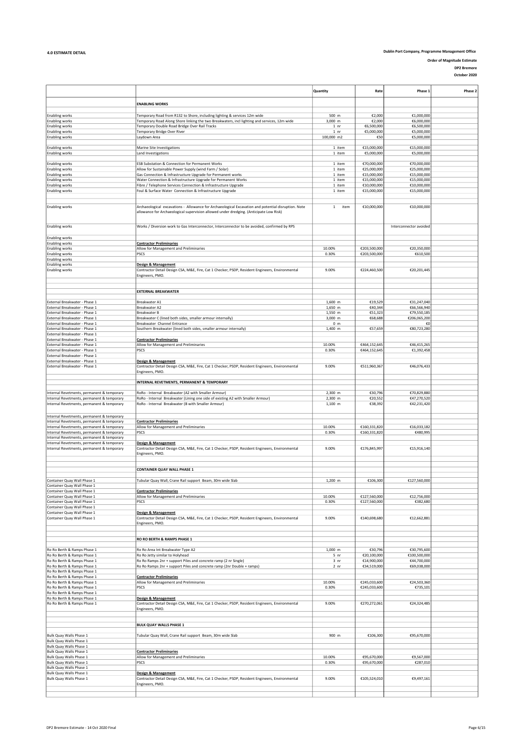Order of Magnitude Estimate DP2 Bremore

|                                                                                          |                                                                                                                                                                                               | Quantity                  | Rate                         | Phase 1                    | Phase 2 |
|------------------------------------------------------------------------------------------|-----------------------------------------------------------------------------------------------------------------------------------------------------------------------------------------------|---------------------------|------------------------------|----------------------------|---------|
|                                                                                          |                                                                                                                                                                                               |                           |                              |                            |         |
|                                                                                          | <b>ENABLING WORKS</b>                                                                                                                                                                         |                           |                              |                            |         |
| <b>Enabling works</b>                                                                    | Temporary Road from R132 to Shore, including lighting & services 12m wide                                                                                                                     | 500 m                     | €2,000                       | €1,000,000                 |         |
| <b>Enabling works</b>                                                                    | Temporary Road Along Shore linking the two Breakwaters, incl lighting and services, 12m wide                                                                                                  | 3,000 m                   | €2,000                       | €6,000,000                 |         |
| <b>Enabling works</b>                                                                    | Temporary Double Road Bridge Over Rail Tracks                                                                                                                                                 | 1 nr                      | €6,500,000                   | €6,500,000                 |         |
| <b>Enabling works</b>                                                                    | Temporary Bridge Over River                                                                                                                                                                   | 1 nr                      | €5,000,000                   | €5,000,000                 |         |
| <b>Enabling works</b>                                                                    | Laydown Area                                                                                                                                                                                  | 100,000 m2                | €50                          | €5,000,000                 |         |
|                                                                                          | Marine Site Investigations                                                                                                                                                                    |                           |                              |                            |         |
| <b>Enabling works</b><br><b>Enabling works</b>                                           | Land Investigations                                                                                                                                                                           | 1 item<br>1 item          | €15,000,000<br>€5,000,000    | €15,000,000<br>€5,000,000  |         |
|                                                                                          |                                                                                                                                                                                               |                           |                              |                            |         |
| <b>Enabling works</b>                                                                    | ESB Substation & Connection for Permanent Works                                                                                                                                               | 1 item                    | €70,000,000                  | €70,000,000                |         |
| <b>Enabling works</b>                                                                    | Allow for Sustainable Power Supply (wind Farm / Solar)                                                                                                                                        | 1 item                    | €25,000,000                  | €25,000,000                |         |
| <b>Enabling works</b>                                                                    | Gas Connection & Infrastructure Upgrade for Permanent works                                                                                                                                   | 1 item                    | €15,000,000                  | €15,000,000                |         |
| <b>Enabling works</b>                                                                    | Water Connection & Infrastructure Upgrade for Permanent Works                                                                                                                                 | 1 item                    | €15,000,000                  | €15,000,000                |         |
| Enabling works<br><b>Enabling works</b>                                                  | Fibre / Telephone Services Connection & Infrastructure Upgrade<br>Foul & Surface Water Connection & Infrastructure Upgrade                                                                    | 1 item<br>1 item          | €10,000,000<br>€15,000,000   | €10,000,000<br>€15,000,000 |         |
|                                                                                          |                                                                                                                                                                                               |                           |                              |                            |         |
|                                                                                          |                                                                                                                                                                                               |                           |                              |                            |         |
| <b>Enabling works</b>                                                                    | Archaeological excavations - Allowance for Archaeological Excavation and potential disruption. Note<br>allowance for Archaeological supervision allowed under dredging. (Anticipate Low Risk) | $\mathbf{1}$<br>item      | €10,000,000                  | €10,000,000                |         |
| <b>Enabling works</b>                                                                    | Works / Diversion work to Gas Interconnector, Interconnector to be avoided, confirmed by RPS                                                                                                  |                           |                              | Interconnector avoided     |         |
| <b>Enabling works</b><br><b>Enabling works</b>                                           | <b>Contractor Preliminaries</b>                                                                                                                                                               |                           |                              |                            |         |
| <b>Enabling works</b>                                                                    | Allow for Management and Preliminaries                                                                                                                                                        | 10.00%                    | €203,500,000                 | €20,350,000                |         |
| <b>Enabling works</b>                                                                    | PSCS                                                                                                                                                                                          | 0.30%                     | €203,500,000                 | €610,500                   |         |
| <b>Enabling works</b>                                                                    |                                                                                                                                                                                               |                           |                              |                            |         |
| <b>Enabling works</b>                                                                    | Design & Management                                                                                                                                                                           |                           |                              |                            |         |
| <b>Enabling works</b>                                                                    | Contractor Detail Design CSA, M&E, Fire, Cat 1 Checker, PSDP, Resident Engineers, Environmental                                                                                               | 9.00%                     | €224,460,500                 | €20,201,445                |         |
|                                                                                          | Engineers, PMO.                                                                                                                                                                               |                           |                              |                            |         |
|                                                                                          |                                                                                                                                                                                               |                           |                              |                            |         |
|                                                                                          | <b>EXTERNAL BREAKWATER</b>                                                                                                                                                                    |                           |                              |                            |         |
|                                                                                          |                                                                                                                                                                                               |                           |                              |                            |         |
| External Breakwater - Phase 1                                                            | Breakwater A1                                                                                                                                                                                 | 1,600 m                   | €19,529                      | €31,247,040                |         |
| External Breakwater - Phase 1                                                            | Breakwater A2                                                                                                                                                                                 | 1,650 m                   | €40,344                      | €66,566,940                |         |
| External Breakwater - Phase 1                                                            | Breakwater B                                                                                                                                                                                  | 1,550 m                   | €51,323                      | €79,550,185                |         |
| External Breakwater - Phase 1<br>External Breakwater - Phase 1                           | Breakwater C (lined both sides, smaller armour internally)                                                                                                                                    | 3,000 m                   | €68,688                      | €206,065,200<br>€0         |         |
| External Breakwater - Phase 1                                                            | Breakwater Channel Entrance<br>Southern Breakwater (lined both sides, smaller armour internally)                                                                                              | 0 <sub>m</sub><br>1,400 m | €57,659                      | €80,723,280                |         |
| External Breakwater - Phase 1                                                            |                                                                                                                                                                                               |                           |                              |                            |         |
| External Breakwater - Phase 1                                                            | <b>Contractor Preliminaries</b>                                                                                                                                                               |                           |                              |                            |         |
| External Breakwater - Phase 1                                                            | Allow for Management and Preliminaries                                                                                                                                                        | 10.00%                    | €464,152,645                 | €46,415,265                |         |
| External Breakwater - Phase 1                                                            | <b>PSCS</b>                                                                                                                                                                                   | 0.30%                     | €464,152,645                 | €1,392,458                 |         |
| External Breakwater - Phase 1                                                            |                                                                                                                                                                                               |                           |                              |                            |         |
| External Breakwater - Phase 1<br>External Breakwater - Phase 1                           | <b>Design &amp; Management</b><br>Contractor Detail Design CSA, M&E, Fire, Cat 1 Checker, PSDP, Resident Engineers, Environmental<br>Engineers, PMO.                                          | 9.00%                     | €511,960,367                 | €46,076,433                |         |
|                                                                                          | INTERNAL REVETMENTS, PERMANENT & TEMPORARY                                                                                                                                                    |                           |                              |                            |         |
|                                                                                          |                                                                                                                                                                                               |                           |                              |                            |         |
| Internal Revetments, permanent & temporary                                               | RoRo - Internal Breakwater (A2 with Smaller Armour)                                                                                                                                           | 2,300 m                   | €30,796                      | €70.829.880                |         |
| Internal Revetments, permanent & temporary                                               | RoRo - Internal Breakwater (Lining one side of existing A2 with Smaller Armour)                                                                                                               | 2,300 m                   | €20,552                      | €47,270,520                |         |
| Internal Revetments, permanent & temporary                                               | RoRo - Internal Breakwater (B with Smaller Armour)                                                                                                                                            | 1,100 m                   | €38,392                      | €42,231,420                |         |
|                                                                                          |                                                                                                                                                                                               |                           |                              |                            |         |
| Internal Revetments, permanent & temporary                                               |                                                                                                                                                                                               |                           |                              |                            |         |
| Internal Revetments, permanent & temporary<br>Internal Revetments, permanent & temporary | <b>Contractor Preliminaries</b><br>Allow for Management and Preliminaries                                                                                                                     | 10.00%                    | €160,331,820                 | €16,033,182                |         |
| Internal Revetments, permanent & temporary                                               | <b>PSCS</b>                                                                                                                                                                                   | 0.30%                     | €160,331,820                 | €480,995                   |         |
| Internal Revetments, permanent & temporary                                               |                                                                                                                                                                                               |                           |                              |                            |         |
| Internal Revetments, permanent & temporary                                               | Design & Management                                                                                                                                                                           |                           |                              |                            |         |
| Internal Revetments, permanent & temporary                                               | Contractor Detail Design CSA, M&E, Fire, Cat 1 Checker, PSDP, Resident Engineers, Environmental                                                                                               | 9.00%                     | €176,845,997                 | €15,916,140                |         |
|                                                                                          | Engineers, PMO.                                                                                                                                                                               |                           |                              |                            |         |
|                                                                                          |                                                                                                                                                                                               |                           |                              |                            |         |
|                                                                                          | CONTAINER QUAY WALL PHASE 1                                                                                                                                                                   |                           |                              |                            |         |
|                                                                                          |                                                                                                                                                                                               |                           |                              |                            |         |
| Container Quay Wall Phase 1                                                              | Tubular Quay Wall, Crane Rail support Beam, 30m wide Slab                                                                                                                                     | 1,200 m                   | €106,300                     | €127,560,000               |         |
| Container Quay Wall Phase 1                                                              |                                                                                                                                                                                               |                           |                              |                            |         |
| Container Quay Wall Phase 1                                                              | <b>Contractor Preliminaries</b>                                                                                                                                                               |                           |                              |                            |         |
| Container Quay Wall Phase 1<br>Container Quay Wall Phase 1                               | Allow for Management and Preliminaries<br>PSCS                                                                                                                                                | 10.00%<br>0.30%           | €127,560,000<br>€127,560,000 | €12,756,000<br>€382,680    |         |
| Container Quay Wall Phase 1                                                              |                                                                                                                                                                                               |                           |                              |                            |         |
| Container Quay Wall Phase 1                                                              | <b>Design &amp; Management</b>                                                                                                                                                                |                           |                              |                            |         |
| Container Quay Wall Phase 1                                                              | Contractor Detail Design CSA, M&E, Fire, Cat 1 Checker, PSDP, Resident Engineers, Environmental                                                                                               | 9.00%                     | €140,698,680                 | €12,662,881                |         |
|                                                                                          | Engineers, PMO.                                                                                                                                                                               |                           |                              |                            |         |
|                                                                                          |                                                                                                                                                                                               |                           |                              |                            |         |
|                                                                                          | RO RO BERTH & RAMPS PHASE 1                                                                                                                                                                   |                           |                              |                            |         |
|                                                                                          |                                                                                                                                                                                               |                           |                              |                            |         |
| Ro Ro Berth & Ramps Phase 1                                                              | Ro Ro Area Int Breakwater Type A2                                                                                                                                                             | $1.000$ m                 | €30,796                      | €30,795,600                |         |
| Ro Ro Berth & Ramps Phase 1                                                              | Ro Ro Jetty similar to Holyhead                                                                                                                                                               | 5 <sub>nr</sub>           | €20,100,000                  | €100,500,000               |         |
| Ro Ro Berth & Ramps Phase 1                                                              | Ro Ro Ramps 2nr + support Piles and concrete ramp (2 nr Single)                                                                                                                               | 3 <sub>nr</sub>           | €14,900,000                  | €44,700,000                |         |
| Ro Ro Berth & Ramps Phase 1                                                              | Ro Ro Ramps 2nr + support Piles and concrete ramp (2nr Double + ramps)                                                                                                                        | 2 <sub>nr</sub>           | €34,519,000                  | €69,038,000                |         |
| Ro Ro Berth & Ramps Phase 1<br>Ro Ro Berth & Ramps Phase 1                               | <b>Contractor Preliminaries</b>                                                                                                                                                               |                           |                              |                            |         |
| Ro Ro Berth & Ramps Phase 1                                                              | Allow for Management and Preliminaries                                                                                                                                                        | 10.00%                    | €245,033,600                 | €24,503,360                |         |
| Ro Ro Berth & Ramps Phase 1                                                              | PSCS                                                                                                                                                                                          | 0.30%                     | €245,033,600                 | €735,101                   |         |
| Ro Ro Berth & Ramps Phase 1                                                              |                                                                                                                                                                                               |                           |                              |                            |         |
| Ro Ro Berth & Ramps Phase 1                                                              | Design & Management                                                                                                                                                                           |                           |                              |                            |         |
| Ro Ro Berth & Ramps Phase 1                                                              | Contractor Detail Design CSA, M&E, Fire, Cat 1 Checker, PSDP, Resident Engineers, Environmental                                                                                               | 9.00%                     | €270,272,061                 | €24,324,485                |         |
|                                                                                          | Engineers, PMO.                                                                                                                                                                               |                           |                              |                            |         |
|                                                                                          |                                                                                                                                                                                               |                           |                              |                            |         |
|                                                                                          | <b>BULK QUAY WALLS PHASE 1</b>                                                                                                                                                                |                           |                              |                            |         |
|                                                                                          |                                                                                                                                                                                               |                           |                              |                            |         |
| Bulk Quay Walls Phase 1                                                                  | Tubular Quay Wall, Crane Rail support Beam, 30m wide Slab                                                                                                                                     | 900 m                     | €106,300                     | €95,670,000                |         |
| Bulk Quay Walls Phase 1                                                                  |                                                                                                                                                                                               |                           |                              |                            |         |
| Bulk Quay Walls Phase 1                                                                  |                                                                                                                                                                                               |                           |                              |                            |         |
| Bulk Quay Walls Phase 1<br>Bulk Quay Walls Phase 1                                       | <b>Contractor Preliminaries</b><br>Allow for Management and Preliminaries                                                                                                                     | 10.00%                    | €95,670,000                  | €9,567,000                 |         |
| Bulk Quay Walls Phase 1                                                                  | PSCS                                                                                                                                                                                          | 0.30%                     | €95,670,000                  | €287,010                   |         |
| Bulk Quay Walls Phase 1                                                                  |                                                                                                                                                                                               |                           |                              |                            |         |
| Bulk Quay Walls Phase 1                                                                  | Design & Management                                                                                                                                                                           |                           |                              |                            |         |
| Bulk Quay Walls Phase 1                                                                  | Contractor Detail Design CSA, M&E, Fire, Cat 1 Checker, PSDP, Resident Engineers, Environmental                                                                                               | 9.00%                     | €105,524,010                 | €9,497,161                 |         |
|                                                                                          | Engineers, PMO.                                                                                                                                                                               |                           |                              |                            |         |
|                                                                                          |                                                                                                                                                                                               |                           |                              |                            |         |
|                                                                                          |                                                                                                                                                                                               |                           |                              |                            |         |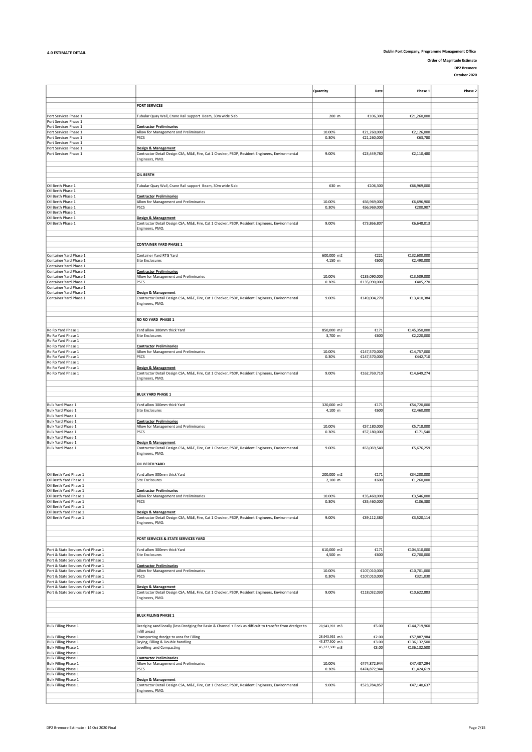Order of Magnitude Estimate

DP2 Bremore October 2020

|                                                                          |                                                                                                                                   | Quantity      | Rate         | Phase 1      | Phase 2 |
|--------------------------------------------------------------------------|-----------------------------------------------------------------------------------------------------------------------------------|---------------|--------------|--------------|---------|
|                                                                          |                                                                                                                                   |               |              |              |         |
|                                                                          | <b>PORT SERVICES</b>                                                                                                              |               |              |              |         |
| Port Services Phase 1                                                    | Tubular Quay Wall, Crane Rail support Beam, 30m wide Slab                                                                         | 200 m         | €106,300     | €21,260,000  |         |
| Port Services Phase 1                                                    |                                                                                                                                   |               |              |              |         |
| Port Services Phase 1<br>Port Services Phase 1                           | <b>Contractor Preliminaries</b><br>Allow for Management and Preliminaries                                                         | 10.00%        | €21,260,000  | €2,126,000   |         |
| Port Services Phase 1                                                    | PSCS                                                                                                                              | 0.30%         | €21,260,000  | €63,780      |         |
| Port Services Phase 1                                                    |                                                                                                                                   |               |              |              |         |
| Port Services Phase 1<br>Port Services Phase 1                           | <b>Design &amp; Management</b>                                                                                                    | 9.00%         |              | €2,110,480   |         |
|                                                                          | Contractor Detail Design CSA, M&E, Fire, Cat 1 Checker, PSDP, Resident Engineers, Environmental<br>Engineers, PMO.                |               | €23,449,780  |              |         |
|                                                                          |                                                                                                                                   |               |              |              |         |
|                                                                          |                                                                                                                                   |               |              |              |         |
|                                                                          | <b>OIL BERTH</b>                                                                                                                  |               |              |              |         |
| Oil Berth Phase 1                                                        | Tubular Quay Wall, Crane Rail support Beam, 30m wide Slab                                                                         | 630 m         | €106,300     | €66,969,000  |         |
| Oil Berth Phase 1                                                        |                                                                                                                                   |               |              |              |         |
| Oil Berth Phase 1<br>Oil Berth Phase 1                                   | <b>Contractor Preliminaries</b><br>Allow for Management and Preliminaries                                                         | 10.00%        | €66,969,000  | €6,696,900   |         |
| Oil Berth Phase 1                                                        | PSCS                                                                                                                              | 0.30%         | €66,969,000  | €200,907     |         |
| Oil Berth Phase 1                                                        |                                                                                                                                   |               |              |              |         |
| Oil Berth Phase 1<br>Oil Berth Phase 1                                   | <b>Design &amp; Management</b>                                                                                                    | 9.00%         | €73,866,807  | €6,648,013   |         |
|                                                                          | Contractor Detail Design CSA, M&E, Fire, Cat 1 Checker, PSDP, Resident Engineers, Environmental<br>Engineers, PMO.                |               |              |              |         |
|                                                                          |                                                                                                                                   |               |              |              |         |
|                                                                          |                                                                                                                                   |               |              |              |         |
|                                                                          | <b>CONTAINER YARD PHASE 1</b>                                                                                                     |               |              |              |         |
| Container Yard Phase 1                                                   | Container Yard RTG Yard                                                                                                           | 600,000 m2    | €221         | €132,600,000 |         |
| Container Yard Phase 1                                                   | Site Enclosures                                                                                                                   | 4,150 m       | €600         | €2,490,000   |         |
| Container Yard Phase 1<br>Container Yard Phase 1                         | <b>Contractor Preliminaries</b>                                                                                                   |               |              |              |         |
| Container Yard Phase 1                                                   | Allow for Management and Preliminaries                                                                                            | 10.00%        | €135,090,000 | €13,509,000  |         |
| Container Yard Phase 1                                                   | PSCS                                                                                                                              | 0.30%         | €135,090,000 | €405,270     |         |
| Container Yard Phase 1<br>Container Yard Phase 1                         |                                                                                                                                   |               |              |              |         |
| Container Yard Phase 1                                                   | <b>Design &amp; Management</b><br>Contractor Detail Design CSA, M&E, Fire, Cat 1 Checker, PSDP, Resident Engineers, Environmental | 9.00%         | €149,004,270 | €13,410,384  |         |
|                                                                          | Engineers, PMO.                                                                                                                   |               |              |              |         |
|                                                                          |                                                                                                                                   |               |              |              |         |
|                                                                          | RO RO YARD PHASE 1                                                                                                                |               |              |              |         |
|                                                                          |                                                                                                                                   |               |              |              |         |
| Ro Ro Yard Phase 1                                                       | Yard allow 300mm thick Yard                                                                                                       | 850,000 m2    | €171         | €145,350,000 |         |
| Ro Ro Yard Phase 1<br>Ro Ro Yard Phase 1                                 | Site Enclosures                                                                                                                   | 3,700 m       | €600         | €2,220,000   |         |
| Ro Ro Yard Phase 1                                                       | <b>Contractor Preliminaries</b>                                                                                                   |               |              |              |         |
| Ro Ro Yard Phase 1                                                       | Allow for Management and Preliminaries                                                                                            | 10.00%        | €147,570,000 | €14,757,000  |         |
| Ro Ro Yard Phase 1<br>Ro Ro Yard Phase 1                                 | PSCS                                                                                                                              | 0.30%         | €147,570,000 | €442,710     |         |
| Ro Ro Yard Phase 1                                                       | Design & Management                                                                                                               |               |              |              |         |
| Ro Ro Yard Phase 1                                                       | Contractor Detail Design CSA, M&E, Fire, Cat 1 Checker, PSDP, Resident Engineers, Environmental                                   | 9.00%         | €162,769,710 | €14,649,274  |         |
|                                                                          | Engineers, PMO.                                                                                                                   |               |              |              |         |
|                                                                          |                                                                                                                                   |               |              |              |         |
|                                                                          | <b>BULK YARD PHASE 1</b>                                                                                                          |               |              |              |         |
| Bulk Yard Phase 1                                                        | Yard allow 300mm thick Yard                                                                                                       | 320,000 m2    | €171         | €54,720,000  |         |
| Bulk Yard Phase 1                                                        | Site Enclosures                                                                                                                   | 4,100 m       | €600         | €2,460,000   |         |
| Bulk Yard Phase 1                                                        |                                                                                                                                   |               |              |              |         |
| Bulk Yard Phase 1<br>Bulk Yard Phase 1                                   | <b>Contractor Preliminaries</b>                                                                                                   | 10.00%        | €57,180,000  | €5,718,000   |         |
| Bulk Yard Phase 1                                                        | Allow for Management and Preliminaries<br>PSCS                                                                                    | 0.30%         | €57,180,000  | €171,540     |         |
| Bulk Yard Phase 1                                                        |                                                                                                                                   |               |              |              |         |
| Bulk Yard Phase 1                                                        | Design & Management<br>Contractor Detail Design CSA, M&E, Fire, Cat 1 Checker, PSDP, Resident Engineers, Environmental            |               |              |              |         |
| Bulk Yard Phase 1                                                        | Engineers, PMO.                                                                                                                   | 9.00%         | €63,069,540  | €5,676,259   |         |
|                                                                          |                                                                                                                                   |               |              |              |         |
|                                                                          | OIL BERTH YARD                                                                                                                    |               |              |              |         |
| Oil Berth Yard Phase 1                                                   | Yard allow 300mm thick Yard                                                                                                       | 200,000 m2    | €171         | €34,200,000  |         |
| Oil Berth Yard Phase 1                                                   | <b>Site Enclosures</b>                                                                                                            | 2,100 m       | €600         | €1,260,000   |         |
| Oil Berth Yard Phase 1                                                   |                                                                                                                                   |               |              |              |         |
| Oil Berth Yard Phase 1<br>Oil Berth Yard Phase 1                         | <b>Contractor Preliminaries</b><br>Allow for Management and Preliminaries                                                         | 10.00%        | €35,460,000  | €3,546,000   |         |
| Oil Berth Yard Phase 1                                                   | PSCS                                                                                                                              | 0.30%         | €35,460,000  | €106,380     |         |
| Oil Berth Yard Phase 1                                                   |                                                                                                                                   |               |              |              |         |
| Oil Berth Yard Phase 1<br>Oil Berth Yard Phase 1                         | Design & Management<br>Contractor Detail Design CSA, M&E, Fire, Cat 1 Checker, PSDP, Resident Engineers, Environmental            | 9.00%         | €39,112,380  | €3,520,114   |         |
|                                                                          | Engineers, PMO.                                                                                                                   |               |              |              |         |
|                                                                          |                                                                                                                                   |               |              |              |         |
|                                                                          |                                                                                                                                   |               |              |              |         |
|                                                                          | PORT SERVICES & STATE SERVICES YARD                                                                                               |               |              |              |         |
| Port & State Services Yard Phase 1                                       | Yard allow 300mm thick Yard                                                                                                       | 610,000 m2    | €171         | €104,310,000 |         |
| Port & State Services Yard Phase 1                                       | Site Enclosures                                                                                                                   | 4,500 m       | €600         | €2,700,000   |         |
| Port & State Services Yard Phase 1<br>Port & State Services Yard Phase 1 | <b>Contractor Preliminaries</b>                                                                                                   |               |              |              |         |
| Port & State Services Yard Phase 1                                       | Allow for Management and Preliminaries                                                                                            | 10.00%        | €107,010,000 | €10,701,000  |         |
| Port & State Services Yard Phase 1                                       | PSCS                                                                                                                              | 0.30%         | €107,010,000 | €321,030     |         |
| Port & State Services Yard Phase 1<br>Port & State Services Yard Phase 1 | Design & Management                                                                                                               |               |              |              |         |
| Port & State Services Yard Phase 1                                       | Contractor Detail Design CSA, M&E, Fire, Cat 1 Checker, PSDP, Resident Engineers, Environmental                                   | 9.00%         | €118,032,030 | €10,622,883  |         |
|                                                                          | Engineers, PMO.                                                                                                                   |               |              |              |         |
|                                                                          |                                                                                                                                   |               |              |              |         |
|                                                                          | <b>BULK FILLING PHASE 1</b>                                                                                                       |               |              |              |         |
|                                                                          |                                                                                                                                   |               |              |              |         |
| <b>Bulk Filling Phase 1</b>                                              | Dredging sand locally (less Dredging for Basin & Channel + Rock as difficult to transfer from dredger to                          | 28,943,992 m3 | €5.00        | €144,719,960 |         |
| <b>Bulk Filling Phase 1</b>                                              | infill areas)<br>Transporting dredge to area for Filling                                                                          | 28,943,992 m3 | €2.00        | €57,887,984  |         |
| <b>Bulk Filling Phase 1</b>                                              | Drying, Filling & Double handling                                                                                                 | 45,377,500 m3 | €3.00        | €136,132,500 |         |
| <b>Bulk Filling Phase 1</b>                                              | Levelling and Compacting                                                                                                          | 45,377,500 m3 | €3.00        | €136,132,500 |         |
| <b>Bulk Filling Phase 1</b>                                              |                                                                                                                                   |               |              |              |         |
| <b>Bulk Filling Phase 1</b><br><b>Bulk Filling Phase 1</b>               | <b>Contractor Preliminaries</b><br>Allow for Management and Preliminaries                                                         | 10.00%        | €474,872,944 | €47,487,294  |         |
| <b>Bulk Filling Phase 1</b>                                              | PSCS                                                                                                                              | 0.30%         | €474,872,944 | €1,424,619   |         |
| <b>Bulk Filling Phase 1</b>                                              |                                                                                                                                   |               |              |              |         |
| <b>Bulk Filling Phase 1</b><br><b>Bulk Filling Phase 1</b>               | Design & Management<br>Contractor Detail Design CSA, M&E, Fire, Cat 1 Checker, PSDP, Resident Engineers, Environmental            | 9.00%         | €523,784,857 | €47,140,637  |         |
|                                                                          | Engineers, PMO.                                                                                                                   |               |              |              |         |
|                                                                          |                                                                                                                                   |               |              |              |         |
|                                                                          |                                                                                                                                   |               |              |              |         |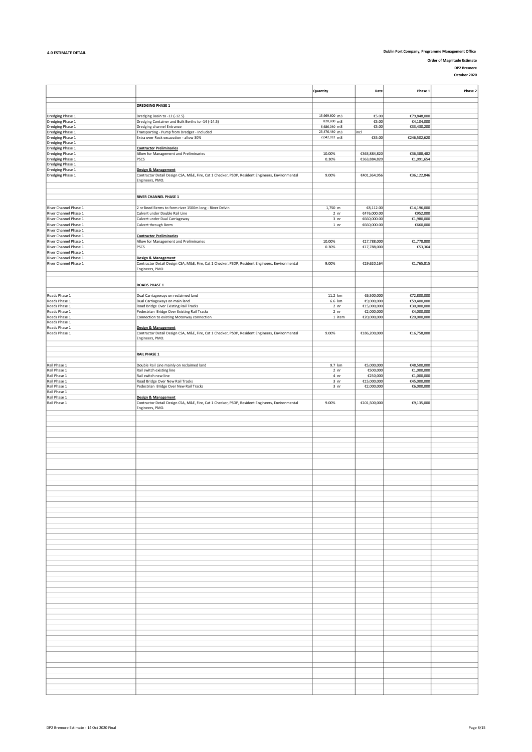Order of Magnitude Estimate

DP2 Bremore

|                                                |                                                                                                                        | Quantity                           | Rate                       | Phase 1                   | Phase 2 |
|------------------------------------------------|------------------------------------------------------------------------------------------------------------------------|------------------------------------|----------------------------|---------------------------|---------|
|                                                |                                                                                                                        |                                    |                            |                           |         |
|                                                | <b>DREDGING PHASE 1</b>                                                                                                |                                    |                            |                           |         |
| Dredging Phase 1                               | Dredging Basin to -12 (-12.5)                                                                                          | 15,969,600 m3                      | €5.00                      | €79,848,000               |         |
| Dredging Phase 1                               | Dredging Container and Bulk Berths to -14 (-14.5)                                                                      | 820,800 m3                         | €5.00                      | €4,104,000                |         |
| Dredging Phase 1                               | Dredging channel Entrance                                                                                              | 6,686,040 m3                       | $\xi5.00$                  | €33,430,200               |         |
| Dredging Phase 1                               | Transporting - Pump from Dredger - Included                                                                            | 23,476,440 m3                      | incl                       |                           |         |
| Dredging Phase 1<br>Dredging Phase 1           | Extra over Rock excavation - allow 30%                                                                                 | 7,042,932 m3                       | €35.00                     | €246,502,620              |         |
| Dredging Phase 1                               | <b>Contractor Preliminaries</b>                                                                                        |                                    |                            |                           |         |
| Dredging Phase 1                               | Allow for Management and Preliminaries                                                                                 | 10.00%                             | €363,884,820               | €36,388,482               |         |
| Dredging Phase 1                               | PSCS                                                                                                                   | 0.30%                              | €363,884,820               | €1,091,654                |         |
| Dredging Phase 1                               |                                                                                                                        |                                    |                            |                           |         |
| Dredging Phase 1<br>Dredging Phase 1           | Design & Management<br>Contractor Detail Design CSA, M&E, Fire, Cat 1 Checker, PSDP, Resident Engineers, Environmental | 9.00%                              | €401,364,956               | €36,122,846               |         |
|                                                | Engineers, PMO.                                                                                                        |                                    |                            |                           |         |
|                                                |                                                                                                                        |                                    |                            |                           |         |
|                                                |                                                                                                                        |                                    |                            |                           |         |
|                                                | <b>RIVER CHANNEL PHASE 1</b>                                                                                           |                                    |                            |                           |         |
| River Channel Phase 1                          | 2 nr lined Berms to form river 1500m long - River Delvin                                                               | 1,750 m                            | €8,112.00                  | €14,196,000               |         |
| River Channel Phase 1                          | Culvert under Double Rail Line                                                                                         | 2 nr                               | €476,000.00                | €952,000                  |         |
| River Channel Phase 1                          | Culvert under Dual Carriageway                                                                                         | 3 nr                               | €660,000.00                | €1,980,000                |         |
| River Channel Phase 1                          | Culvert through Berm                                                                                                   | 1 nr                               | €660,000.00                | €660,000                  |         |
| River Channel Phase 1                          |                                                                                                                        |                                    |                            |                           |         |
| River Channel Phase 1                          | <b>Contractor Preliminaries</b>                                                                                        |                                    |                            |                           |         |
| River Channel Phase 1<br>River Channel Phase 1 | Allow for Management and Preliminaries<br>PSCS                                                                         | 10.00%<br>0.30%                    | €17,788,000<br>€17,788,000 | €1,778,800<br>€53,364     |         |
| River Channel Phase 1                          |                                                                                                                        |                                    |                            |                           |         |
| River Channel Phase 1                          | <b>Design &amp; Management</b>                                                                                         |                                    |                            |                           |         |
| River Channel Phase 1                          | Contractor Detail Design CSA, M&E, Fire, Cat 1 Checker, PSDP, Resident Engineers, Environmental                        | 9.00%                              | €19,620,164                | €1,765,815                |         |
|                                                | Engineers, PMO.                                                                                                        |                                    |                            |                           |         |
|                                                |                                                                                                                        |                                    |                            |                           |         |
|                                                | <b>ROADS PHASE 1</b>                                                                                                   |                                    |                            |                           |         |
|                                                |                                                                                                                        |                                    |                            |                           |         |
| Roads Phase 1                                  | Dual Carriageways on reclaimed land                                                                                    | 11.2 km                            | €6,500,000                 | €72,800,000               |         |
| Roads Phase 1                                  | Dual Carriageways on main land                                                                                         | 6.6 km                             | €9,000,000                 | €59,400,000               |         |
| Roads Phase 1<br>Roads Phase 1                 | Road Bridge Over Existing Rail Tracks<br>Pedestrian Bridge Over Existing Rail Tracks                                   | 2 <sub>nr</sub><br>2 <sub>nr</sub> | €15,000,000<br>€2,000,000  | €30,000,000<br>€4,000,000 |         |
| Roads Phase 1                                  | Connection to existing Motorway connection                                                                             | 1 item                             | €20,000,000                | €20,000,000               |         |
| Roads Phase 1                                  |                                                                                                                        |                                    |                            |                           |         |
| Roads Phase 1                                  | Design & Management                                                                                                    |                                    |                            |                           |         |
| Roads Phase 1                                  | Contractor Detail Design CSA, M&E, Fire, Cat 1 Checker, PSDP, Resident Engineers, Environmental<br>Engineers, PMO.     | 9.00%                              | €186,200,000               | €16,758,000               |         |
|                                                |                                                                                                                        |                                    |                            |                           |         |
|                                                |                                                                                                                        |                                    |                            |                           |         |
|                                                | <b>RAIL PHASE 1</b>                                                                                                    |                                    |                            |                           |         |
| Rail Phase 1                                   | Double Rail Line mainly on reclaimed land                                                                              | 9.7 km                             | €5,000,000                 | €48,500,000               |         |
| Rail Phase 1                                   | Rail switch existing line                                                                                              | 2 nr                               | €500,000                   | €1,000,000                |         |
| Rail Phase 1                                   | Rail switch new line                                                                                                   | 4 nr                               | €250,000                   | €1,000,000                |         |
| Rail Phase 1<br>Rail Phase 1                   | Road Bridge Over New Rail Tracks<br>Pedestrian Bridge Over New Rail Tracks                                             | 3 <sub>nr</sub><br>3 nr            | €15,000,000<br>€2,000,000  | €45,000,000<br>€6,000,000 |         |
| Rail Phase 1                                   |                                                                                                                        |                                    |                            |                           |         |
| Rail Phase 1                                   | Design & Management                                                                                                    |                                    |                            |                           |         |
| Rail Phase 1                                   | Contractor Detail Design CSA, M&E, Fire, Cat 1 Checker, PSDP, Resident Engineers, Environmental<br>Engineers, PMO.     | 9.00%                              | €101,500,000               | €9,135,000                |         |
|                                                |                                                                                                                        |                                    |                            |                           |         |
|                                                |                                                                                                                        |                                    |                            |                           |         |
|                                                |                                                                                                                        |                                    |                            |                           |         |
|                                                |                                                                                                                        |                                    |                            |                           |         |
|                                                |                                                                                                                        |                                    |                            |                           |         |
|                                                |                                                                                                                        |                                    |                            |                           |         |
|                                                |                                                                                                                        |                                    |                            |                           |         |
|                                                |                                                                                                                        |                                    |                            |                           |         |
|                                                |                                                                                                                        |                                    |                            |                           |         |
|                                                |                                                                                                                        |                                    |                            |                           |         |
|                                                |                                                                                                                        |                                    |                            |                           |         |
|                                                |                                                                                                                        |                                    |                            |                           |         |
|                                                |                                                                                                                        |                                    |                            |                           |         |
|                                                |                                                                                                                        |                                    |                            |                           |         |
|                                                |                                                                                                                        |                                    |                            |                           |         |
|                                                |                                                                                                                        |                                    |                            |                           |         |
|                                                |                                                                                                                        |                                    |                            |                           |         |
|                                                |                                                                                                                        |                                    |                            |                           |         |
|                                                |                                                                                                                        |                                    |                            |                           |         |
|                                                |                                                                                                                        |                                    |                            |                           |         |
|                                                |                                                                                                                        |                                    |                            |                           |         |
|                                                |                                                                                                                        |                                    |                            |                           |         |
|                                                |                                                                                                                        |                                    |                            |                           |         |
|                                                |                                                                                                                        |                                    |                            |                           |         |
|                                                |                                                                                                                        |                                    |                            |                           |         |
|                                                |                                                                                                                        |                                    |                            |                           |         |
|                                                |                                                                                                                        |                                    |                            |                           |         |
|                                                |                                                                                                                        |                                    |                            |                           |         |
|                                                |                                                                                                                        |                                    |                            |                           |         |
|                                                |                                                                                                                        |                                    |                            |                           |         |
|                                                |                                                                                                                        |                                    |                            |                           |         |
|                                                |                                                                                                                        |                                    |                            |                           |         |
|                                                |                                                                                                                        |                                    |                            |                           |         |
|                                                |                                                                                                                        |                                    |                            |                           |         |
|                                                |                                                                                                                        |                                    |                            |                           |         |
|                                                |                                                                                                                        |                                    |                            |                           |         |
|                                                |                                                                                                                        |                                    |                            |                           |         |
|                                                |                                                                                                                        |                                    |                            |                           |         |
|                                                |                                                                                                                        |                                    |                            |                           |         |
|                                                |                                                                                                                        |                                    |                            |                           |         |
|                                                |                                                                                                                        |                                    |                            |                           |         |
|                                                |                                                                                                                        |                                    |                            |                           |         |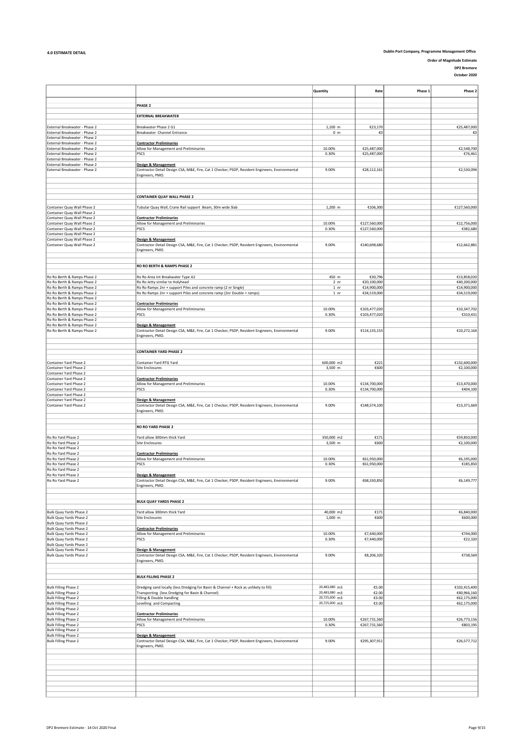Order of Magnitude Estimate

DP2 Bremore

|                                                                |                                                                                                                        | Quantity                       | Rate                         | Phase: | Phase 2                    |
|----------------------------------------------------------------|------------------------------------------------------------------------------------------------------------------------|--------------------------------|------------------------------|--------|----------------------------|
|                                                                | PHASE 2                                                                                                                |                                |                              |        |                            |
|                                                                |                                                                                                                        |                                |                              |        |                            |
|                                                                | <b>EXTERNAL BREAKWATER</b>                                                                                             |                                |                              |        |                            |
| External Breakwater - Phase 2                                  | Breakwater Phase 2 G1                                                                                                  | 1,100 m                        | €23,170                      |        | €25,487,000                |
| External Breakwater - Phase 2<br>External Breakwater - Phase 2 | Breakwater Channel Entrance                                                                                            | 0 <sub>m</sub>                 | €0                           |        | €0                         |
| External Breakwater - Phase 2                                  | <b>Contractor Preliminaries</b>                                                                                        |                                |                              |        |                            |
| External Breakwater - Phase 2                                  | Allow for Management and Preliminaries                                                                                 | 10.00%                         | €25,487,000                  |        | €2,548,700                 |
| External Breakwater - Phase 2<br>External Breakwater - Phase 2 | PSCS                                                                                                                   | 0.30%                          | €25,487,000                  |        | €76,461                    |
| External Breakwater - Phase 2                                  | <b>Design &amp; Management</b>                                                                                         |                                |                              |        |                            |
| External Breakwater - Phase 2                                  | Contractor Detail Design CSA, M&E, Fire, Cat 1 Checker, PSDP, Resident Engineers, Environmental                        | 9.00%                          | €28,112,161                  |        | €2,530,094                 |
|                                                                | Engineers, PMO.                                                                                                        |                                |                              |        |                            |
|                                                                |                                                                                                                        |                                |                              |        |                            |
|                                                                |                                                                                                                        |                                |                              |        |                            |
|                                                                | <b>CONTAINER QUAY WALL PHASE 2</b>                                                                                     |                                |                              |        |                            |
| Container Quay Wall Phase 2                                    | Tubular Quay Wall, Crane Rail support Beam, 30m wide Slab                                                              | 1,200 m                        | €106,300                     |        | €127,560,000               |
| Container Quay Wall Phase 2                                    |                                                                                                                        |                                |                              |        |                            |
| Container Quay Wall Phase 2                                    | <b>Contractor Preliminaries</b>                                                                                        |                                |                              |        |                            |
| Container Quay Wall Phase 2<br>Container Quay Wall Phase 2     | Allow for Management and Preliminaries<br>PSCS                                                                         | 10.00%<br>0.30%                | €127,560,000<br>€127,560,000 |        | €12,756,000<br>€382,680    |
| Container Quay Wall Phase 2                                    |                                                                                                                        |                                |                              |        |                            |
| Container Quay Wall Phase 2                                    | Design & Management                                                                                                    |                                |                              |        |                            |
| Container Quay Wall Phase 2                                    | Contractor Detail Design CSA, M&E, Fire, Cat 1 Checker, PSDP, Resident Engineers, Environmental                        | 9.00%                          | €140,698,680                 |        | €12,662,881                |
|                                                                | Engineers, PMO.                                                                                                        |                                |                              |        |                            |
|                                                                |                                                                                                                        |                                |                              |        |                            |
|                                                                | RO RO BERTH & RAMPS PHASE 2                                                                                            |                                |                              |        |                            |
| Ro Ro Berth & Ramps Phase 2                                    | Ro Ro Area Int Breakwater Type A2                                                                                      | 450 m                          | €30,796                      |        | €13,858,020                |
| Ro Ro Berth & Ramps Phase 2                                    | Ro Ro Jetty similar to Holyhead                                                                                        | 2 <sub>nr</sub>                | €20,100,000                  |        | €40,200,000                |
| Ro Ro Berth & Ramps Phase 2                                    | Ro Ro Ramps 2nr + support Piles and concrete ramp (2 nr Single)                                                        | 1 <sub>nr</sub>                | €14,900,000                  |        | €14,900,000                |
| Ro Ro Berth & Ramps Phase 2                                    | Ro Ro Ramps 2nr + support Piles and concrete ramp (2nr Double + ramps)                                                 | $1$ nr                         | €34,519,000                  |        | €34,519,000                |
| Ro Ro Berth & Ramps Phase 2<br>Ro Ro Berth & Ramps Phase 2     | <b>Contractor Preliminaries</b>                                                                                        |                                |                              |        |                            |
| Ro Ro Berth & Ramps Phase 2                                    | Allow for Management and Preliminaries                                                                                 | 10.00%                         | €103,477,020                 |        | €10,347,702                |
| Ro Ro Berth & Ramps Phase 2                                    | PSCS                                                                                                                   | 0.30%                          | €103,477,020                 |        | €310,431                   |
| Ro Ro Berth & Ramps Phase 2<br>Ro Ro Berth & Ramps Phase 2     | <b>Design &amp; Management</b>                                                                                         |                                |                              |        |                            |
| Ro Ro Berth & Ramps Phase 2                                    | Contractor Detail Design CSA, M&E, Fire, Cat 1 Checker, PSDP, Resident Engineers, Environmental                        | 9.00%                          | €114,135,153                 |        | €10,272,164                |
|                                                                | Engineers, PMO.                                                                                                        |                                |                              |        |                            |
|                                                                |                                                                                                                        |                                |                              |        |                            |
|                                                                | <b>CONTAINER YARD PHASE 2</b>                                                                                          |                                |                              |        |                            |
|                                                                |                                                                                                                        |                                |                              |        |                            |
| Container Yard Phase 2                                         | Container Yard RTG Yard                                                                                                | 600,000 m2                     | €221                         |        | €132,600,000               |
| Container Yard Phase 2                                         | Site Enclosures                                                                                                        | 3,500 m                        | €600                         |        | €2,100,000                 |
| Container Yard Phase 2<br>Container Yard Phase 2               | <b>Contractor Preliminaries</b>                                                                                        |                                |                              |        |                            |
| Container Yard Phase 2                                         | Allow for Management and Preliminaries                                                                                 | 10.00%                         | €134,700,000                 |        | €13,470,000                |
| Container Yard Phase 2                                         | PSCS                                                                                                                   | 0.30%                          | €134,700,000                 |        | €404,100                   |
| Container Yard Phase 2<br>Container Yard Phase 2               |                                                                                                                        |                                |                              |        |                            |
| Container Yard Phase 2                                         | Design & Management<br>Contractor Detail Design CSA, M&E, Fire, Cat 1 Checker, PSDP, Resident Engineers, Environmental | 9.00%                          | €148,574,100                 |        | €13,371,669                |
|                                                                | Engineers, PMO.                                                                                                        |                                |                              |        |                            |
|                                                                |                                                                                                                        |                                |                              |        |                            |
|                                                                | <b>RO RO YARD PHASE 2</b>                                                                                              |                                |                              |        |                            |
|                                                                |                                                                                                                        |                                |                              |        |                            |
| Ro Ro Yard Phase 2                                             | Yard allow 300mm thick Yard                                                                                            | 350,000 m2                     | €171                         |        | €59,850,000                |
| Ro Ro Yard Phase 2                                             | Site Enclosures                                                                                                        | 3,500 m                        | €600                         |        | €2,100,000                 |
| Ro Ro Yard Phase 2<br>Ro Ro Yard Phase 2                       | <b>Contractor Preliminaries</b>                                                                                        |                                |                              |        |                            |
| Ro Ro Yard Phase 2                                             | Allow for Management and Preliminaries                                                                                 | 10.00%                         | €61,950,000                  |        | €6,195,000                 |
| Ro Ro Yard Phase 2                                             | PSCS                                                                                                                   | 0.30%                          | €61,950,000                  |        | €185,850                   |
| Ro Ro Yard Phase 2<br>Ro Ro Yard Phase 2                       | Design & Management                                                                                                    |                                |                              |        |                            |
| Ro Ro Yard Phase 2                                             | Contractor Detail Design CSA, M&E, Fire, Cat 1 Checker, PSDP, Resident Engineers, Environmental                        | 9.00%                          | €68,330,850                  |        | €6,149,777                 |
|                                                                | ngineers, PMO.                                                                                                         |                                |                              |        |                            |
|                                                                |                                                                                                                        |                                |                              |        |                            |
|                                                                | <b>BULK QUAY YARDS PHASE 2</b>                                                                                         |                                |                              |        |                            |
|                                                                |                                                                                                                        |                                |                              |        |                            |
| Bulk Quay Yards Phase 2                                        | Yard allow 300mm thick Yard                                                                                            | 40,000 m2                      | €171                         |        | €6,840,000                 |
| Bulk Quay Yards Phase 2                                        | Site Enclosures                                                                                                        | 1,000 m                        | €600                         |        | €600,000                   |
| Bulk Quay Yards Phase 2<br>Bulk Quay Yards Phase 2             | <b>Contractor Preliminaries</b>                                                                                        |                                |                              |        |                            |
| Bulk Quay Yards Phase 2                                        | Allow for Management and Preliminaries                                                                                 | 10.00%                         | €7,440,000                   |        | €744,000                   |
| Bulk Quay Yards Phase 2                                        | PSCS                                                                                                                   | 0.30%                          | €7,440,000                   |        | €22,320                    |
| Bulk Quay Yards Phase 2<br>Bulk Quay Yards Phase 2             | <b>Design &amp; Management</b>                                                                                         |                                |                              |        |                            |
| Bulk Quay Yards Phase 2                                        | Contractor Detail Design CSA, M&E, Fire, Cat 1 Checker, PSDP, Resident Engineers, Environmental                        | 9.00%                          | €8,206,320                   |        | €738,569                   |
|                                                                | Engineers, PMO.                                                                                                        |                                |                              |        |                            |
|                                                                |                                                                                                                        |                                |                              |        |                            |
|                                                                | <b>BULK FILLING PHASE 2</b>                                                                                            |                                |                              |        |                            |
|                                                                |                                                                                                                        |                                |                              |        |                            |
| <b>Bulk Filling Phase 2</b>                                    | Dredging sand locally (less Dredging for Basin & Channel + Rock as unlikely to fill)                                   | 20,483,080 m3                  | €5.00                        |        | €102,415,400               |
| <b>Bulk Filling Phase 2</b><br><b>Bulk Filling Phase 2</b>     | Transporting (less Dredging for Basin & Channel)<br>Filling & Double handling                                          | 20,483,080 m3<br>20,725,000 m3 | €2.00<br>€3.00               |        | €40,966,160<br>€62,175,000 |
| <b>Bulk Filling Phase 2</b>                                    | Levelling and Compacting                                                                                               | 20,725,000 m3                  | €3.00                        |        | €62,175,000                |
| <b>Bulk Filling Phase 2</b>                                    |                                                                                                                        |                                |                              |        |                            |
| <b>Bulk Filling Phase 2</b><br><b>Bulk Filling Phase 2</b>     | <b>Contractor Preliminaries</b><br>Allow for Management and Preliminaries                                              | 10.00%                         | €267,731,560                 |        | €26,773,156                |
| <b>Bulk Filling Phase 2</b>                                    | PSCS                                                                                                                   | 0.30%                          | €267,731,560                 |        | €803,195                   |
| <b>Bulk Filling Phase 2</b>                                    |                                                                                                                        |                                |                              |        |                            |
| <b>Bulk Filling Phase 2</b>                                    | Design & Management                                                                                                    |                                |                              |        |                            |
| <b>Bulk Filling Phase 2</b>                                    | Contractor Detail Design CSA, M&E, Fire, Cat 1 Checker, PSDP, Resident Engineers, Environmental<br>Engineers, PMO.     | 9.00%                          | €295,307,911                 |        | €26,577,712                |
|                                                                |                                                                                                                        |                                |                              |        |                            |
|                                                                |                                                                                                                        |                                |                              |        |                            |
|                                                                |                                                                                                                        |                                |                              |        |                            |
|                                                                |                                                                                                                        |                                |                              |        |                            |
|                                                                |                                                                                                                        |                                |                              |        |                            |
|                                                                |                                                                                                                        |                                |                              |        |                            |
|                                                                |                                                                                                                        |                                |                              |        |                            |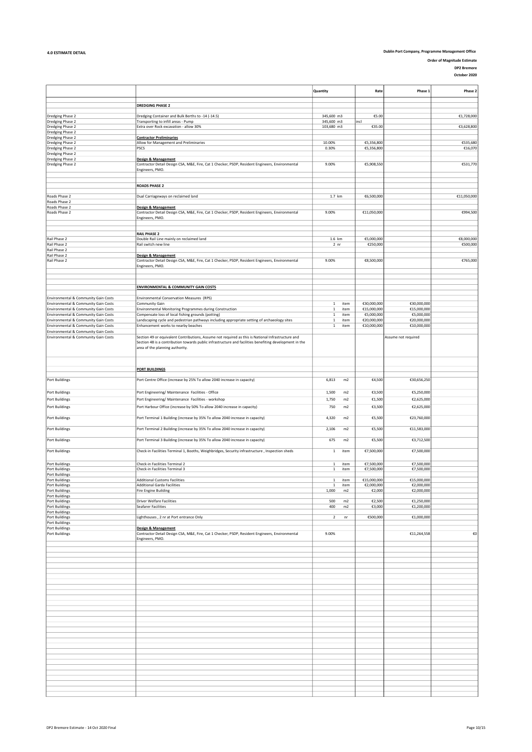Order of Magnitude Estimate

DP2 Bremore October 2020

|                                                                              |                                                                                                                                                                                                               | Quantity                 | Rate                 | Phase 1                  | Phase 2     |
|------------------------------------------------------------------------------|---------------------------------------------------------------------------------------------------------------------------------------------------------------------------------------------------------------|--------------------------|----------------------|--------------------------|-------------|
|                                                                              | <b>DREDGING PHASE 2</b>                                                                                                                                                                                       |                          |                      |                          |             |
|                                                                              |                                                                                                                                                                                                               |                          |                      |                          |             |
| Dredging Phase 2<br>Dredging Phase 2                                         | Dredging Container and Bulk Berths to -14 (-14.5)<br>Transporting to infill areas - Pump                                                                                                                      | 345,600 m3<br>345,600 m3 | €5.00<br>incl        |                          | €1,728,000  |
| Dredging Phase 2                                                             | Extra over Rock excavation - allow 30%                                                                                                                                                                        | 103,680 m3               | €35.00               |                          | €3,628,800  |
| Dredging Phase 2                                                             |                                                                                                                                                                                                               |                          |                      |                          |             |
| Dredging Phase 2<br>Dredging Phase 2                                         | <b>Contractor Preliminaries</b><br>Allow for Management and Preliminaries                                                                                                                                     | 10.00%                   | €5,356,800           |                          | €535,680    |
| Dredging Phase 2                                                             | PSCS                                                                                                                                                                                                          | 0.30%                    | €5,356,800           |                          | €16,070     |
| Dredging Phase 2                                                             |                                                                                                                                                                                                               |                          |                      |                          |             |
| Dredging Phase 2                                                             | Design & Management                                                                                                                                                                                           |                          |                      |                          |             |
| Dredging Phase 2                                                             | Contractor Detail Design CSA, M&E, Fire, Cat 1 Checker, PSDP, Resident Engineers, Environmental<br>Engineers, PMO.                                                                                            | 9.00%                    | €5,908,550           |                          | €531,770    |
|                                                                              |                                                                                                                                                                                                               |                          |                      |                          |             |
|                                                                              |                                                                                                                                                                                                               |                          |                      |                          |             |
|                                                                              | <b>ROADS PHASE 2</b>                                                                                                                                                                                          |                          |                      |                          |             |
| Roads Phase 2                                                                | Dual Carriageways on reclaimed land                                                                                                                                                                           | 1.7 km                   | €6,500,000           |                          | €11,050,000 |
| Roads Phase 2                                                                |                                                                                                                                                                                                               |                          |                      |                          |             |
| Roads Phase 2                                                                | <b>Design &amp; Management</b>                                                                                                                                                                                |                          |                      |                          |             |
| Roads Phase 2                                                                | Contractor Detail Design CSA, M&E, Fire, Cat 1 Checker, PSDP, Resident Engineers, Environmental                                                                                                               | 9.00%                    | €11,050,000          |                          | €994,500    |
|                                                                              | Engineers, PMO.                                                                                                                                                                                               |                          |                      |                          |             |
|                                                                              |                                                                                                                                                                                                               |                          |                      |                          |             |
|                                                                              | <b>RAIL PHASE 2</b>                                                                                                                                                                                           |                          |                      |                          |             |
| Rail Phase 2                                                                 | Double Rail Line mainly on reclaimed land                                                                                                                                                                     | 1.6 km                   | €5,000,000           |                          | €8,000,000  |
| Rail Phase 2<br>Rail Phase 2                                                 | Rail switch new line                                                                                                                                                                                          | 2 <sub>nr</sub>          | €250,000             |                          | €500,000    |
| Rail Phase 2                                                                 | Design & Management                                                                                                                                                                                           |                          |                      |                          |             |
| Rail Phase 2                                                                 | Contractor Detail Design CSA, M&E, Fire, Cat 1 Checker, PSDP, Resident Engineers, Environmental                                                                                                               | 9.00%                    | €8,500,000           |                          | €765,000    |
|                                                                              | Engineers, PMO.                                                                                                                                                                                               |                          |                      |                          |             |
|                                                                              |                                                                                                                                                                                                               |                          |                      |                          |             |
|                                                                              |                                                                                                                                                                                                               |                          |                      |                          |             |
|                                                                              | <b>ENVIRONMENTAL &amp; COMMUNITY GAIN COSTS</b>                                                                                                                                                               |                          |                      |                          |             |
|                                                                              |                                                                                                                                                                                                               |                          |                      |                          |             |
| Environmental & Community Gain Costs<br>Environmental & Community Gain Costs | Environmental Conservation Measures (RPS)<br>Community Gain                                                                                                                                                   | item<br>$\mathbf{1}$     | €30,000,000          | €30,000,000              |             |
| Environmental & Community Gain Costs                                         | Environmental Monitoring Programmes during Construction                                                                                                                                                       | $\,$ 1 $\,$<br>item      | €15,000,000          | €15,000,000              |             |
| Environmental & Community Gain Costs                                         | Compensate loss of local fishing grounds (potting)                                                                                                                                                            | $\mathbf 1$<br>item      | €5,000,000           | €5,000,000               |             |
| Environmental & Community Gain Costs                                         | Landscaping cycle and pedestrian pathways including appropriate setting of archaeology sites                                                                                                                  | $\mathbf 1$<br>item      | €20,000,000          | €20,000,000              |             |
| Environmental & Community Gain Costs                                         | Enhancement works to nearby beaches                                                                                                                                                                           | $\,$ 1 $\,$<br>item      | €10,000,000          | €10,000,000              |             |
| Environmental & Community Gain Costs                                         |                                                                                                                                                                                                               |                          |                      |                          |             |
| Environmental & Community Gain Costs                                         | Section 49 or equivalent Contributions, Assume not required as this is National Infrastructure and<br>Section 48 is a contribution towards public infrastructure and facilities benefiting development in the |                          |                      | Assume not required      |             |
|                                                                              | area of the planning authority.                                                                                                                                                                               |                          |                      |                          |             |
|                                                                              |                                                                                                                                                                                                               |                          |                      |                          |             |
|                                                                              |                                                                                                                                                                                                               |                          |                      |                          |             |
|                                                                              | <b>PORT BUILDINGS</b>                                                                                                                                                                                         |                          |                      |                          |             |
|                                                                              |                                                                                                                                                                                                               |                          |                      |                          |             |
| Port Buildings                                                               | Port Centre Office (increase by 25% To allow 2040 increase in capacity)                                                                                                                                       | 6,813<br>m2              | €4,500               | €30,656,250              |             |
|                                                                              |                                                                                                                                                                                                               |                          |                      |                          |             |
| Port Buildings                                                               | Port Engineering/ Maintenance Facilities - Office                                                                                                                                                             | 1,500<br>m2              | €3,500               | €5,250,000               |             |
| Port Buildings                                                               | Port Engineering/ Maintenance Facilities - workshop                                                                                                                                                           | 1,750<br>m2              | €1,500               | €2,625,000               |             |
| <b>Port Buildings</b>                                                        | Port Harbour Office (increase by 50% To allow 2040 increase in capacity)                                                                                                                                      | 750<br>m2                | €3,500               | €2,625,000               |             |
|                                                                              |                                                                                                                                                                                                               |                          |                      |                          |             |
| Port Buildings                                                               | Port Terminal 1 Building (increase by 35% To allow 2040 increase in capacity)                                                                                                                                 | 4,320<br>m2              | €5,500               | €23,760,000              |             |
| Port Buildings                                                               | Port Terminal 2 Building (increase by 35% To allow 2040 increase in capacity)                                                                                                                                 | 2,106<br>m2              | €5,500               | €11,583,000              |             |
|                                                                              |                                                                                                                                                                                                               |                          |                      |                          |             |
| Port Buildings                                                               | Port Terminal 3 Building (increase by 35% To allow 2040 increase in capacity)                                                                                                                                 | 675<br>m2                | €5,500               | €3,712,500               |             |
| Port Buildings                                                               |                                                                                                                                                                                                               |                          | €7,500,000           | €7,500,000               |             |
|                                                                              | Check-in Facilities Terminal 1, Booths, Weighbridges, Security infrastructure, Inspection sheds                                                                                                               | $\mathbf{1}$<br>item     |                      |                          |             |
| <b>Port Buildings</b>                                                        | Check-in Facilities Terminal 2                                                                                                                                                                                | $\mathbf 1$<br>item      | €7,500,000           | €7,500,000               |             |
| <b>Port Buildings</b>                                                        | Check-in Facilities Terminal 3                                                                                                                                                                                | 1<br>item                | €7,500,000           | €7,500,000               |             |
| <b>Port Buildings</b>                                                        |                                                                                                                                                                                                               |                          |                      |                          |             |
| <b>Port Buildings</b>                                                        | <b>Additional Customs Facilities</b>                                                                                                                                                                          | $\mathbf{1}$<br>item     | €15,000,000          | €15,000,000              |             |
| <b>Port Buildings</b><br>Port Buildings                                      | Additional Garda Facilities                                                                                                                                                                                   | item                     | €2,000,000<br>€2,000 | €2,000,000<br>€2,000,000 |             |
| Port Buildings                                                               | Fire Engine Building                                                                                                                                                                                          | 1,000<br>m2              |                      |                          |             |
| Port Buildings                                                               | Driver Welfare Facilities                                                                                                                                                                                     | 500<br>m2                | €2,500               | €1,250,000               |             |
| <b>Port Buildings</b>                                                        | Seafarer Facilities                                                                                                                                                                                           | 400<br>m2                | €3,000               | €1,200,000               |             |
| Port Buildings<br>Port Buildings                                             | Lighthouses, 2 nr at Port entrance Only                                                                                                                                                                       | $\overline{2}$<br>nr     | €500,000             | €1,000,000               |             |
| Port Buildings                                                               |                                                                                                                                                                                                               |                          |                      |                          |             |
| Port Buildings                                                               | Design & Management                                                                                                                                                                                           |                          |                      |                          |             |
| Port Buildings                                                               | Contractor Detail Design CSA, M&E, Fire, Cat 1 Checker, PSDP, Resident Engineers, Environmental                                                                                                               | 9.00%                    |                      | €11,264,558              | €0          |
|                                                                              | Engineers, PMO.                                                                                                                                                                                               |                          |                      |                          |             |
|                                                                              |                                                                                                                                                                                                               |                          |                      |                          |             |
|                                                                              |                                                                                                                                                                                                               |                          |                      |                          |             |
|                                                                              |                                                                                                                                                                                                               |                          |                      |                          |             |
|                                                                              |                                                                                                                                                                                                               |                          |                      |                          |             |
|                                                                              |                                                                                                                                                                                                               |                          |                      |                          |             |
|                                                                              |                                                                                                                                                                                                               |                          |                      |                          |             |
|                                                                              |                                                                                                                                                                                                               |                          |                      |                          |             |
|                                                                              |                                                                                                                                                                                                               |                          |                      |                          |             |
|                                                                              |                                                                                                                                                                                                               |                          |                      |                          |             |
|                                                                              |                                                                                                                                                                                                               |                          |                      |                          |             |
|                                                                              |                                                                                                                                                                                                               |                          |                      |                          |             |
|                                                                              |                                                                                                                                                                                                               |                          |                      |                          |             |
|                                                                              |                                                                                                                                                                                                               |                          |                      |                          |             |
|                                                                              |                                                                                                                                                                                                               |                          |                      |                          |             |
|                                                                              |                                                                                                                                                                                                               |                          |                      |                          |             |
|                                                                              |                                                                                                                                                                                                               |                          |                      |                          |             |
|                                                                              |                                                                                                                                                                                                               |                          |                      |                          |             |
|                                                                              |                                                                                                                                                                                                               |                          |                      |                          |             |
|                                                                              |                                                                                                                                                                                                               |                          |                      |                          |             |
|                                                                              |                                                                                                                                                                                                               |                          |                      |                          |             |
|                                                                              |                                                                                                                                                                                                               |                          |                      |                          |             |
|                                                                              |                                                                                                                                                                                                               |                          |                      |                          |             |
|                                                                              |                                                                                                                                                                                                               |                          |                      |                          |             |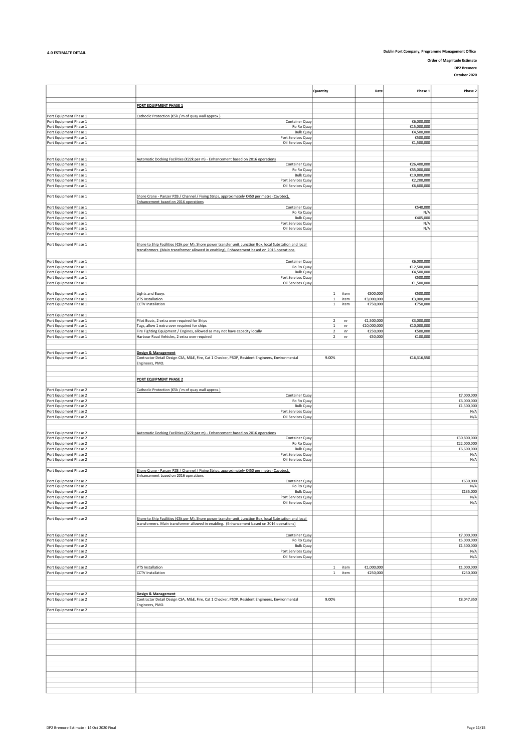Order of Magnitude Estimate

DP2 Bremore October 2020

|                                                  |                                                                                                                                                                                                         | Quantity                                     | Rate                   | Phase 1                   | Phase 2                   |
|--------------------------------------------------|---------------------------------------------------------------------------------------------------------------------------------------------------------------------------------------------------------|----------------------------------------------|------------------------|---------------------------|---------------------------|
|                                                  |                                                                                                                                                                                                         |                                              |                        |                           |                           |
|                                                  | PORT EQUIPMENT PHASE 1                                                                                                                                                                                  |                                              |                        |                           |                           |
| Port Equipment Phase 1                           | Cathodic Protection (€5k / m of quay wall approx.)                                                                                                                                                      |                                              |                        |                           |                           |
| Port Equipment Phase 1                           | Container Quay                                                                                                                                                                                          |                                              |                        | €6,000,000                |                           |
| Port Equipment Phase 1                           | Ro Ro Quay                                                                                                                                                                                              |                                              |                        | €15,000,000               |                           |
| Port Equipment Phase 1<br>Port Equipment Phase 1 | <b>Bulk Quay</b><br>Port Services Quay                                                                                                                                                                  |                                              |                        | €4,500,000<br>€500,000    |                           |
| Port Equipment Phase 1                           | Oil Services Quay                                                                                                                                                                                       |                                              |                        | €1,500,000                |                           |
|                                                  |                                                                                                                                                                                                         |                                              |                        |                           |                           |
|                                                  |                                                                                                                                                                                                         |                                              |                        |                           |                           |
| Port Equipment Phase 1<br>Port Equipment Phase 1 | Automatic Docking Facilities (€22k per m) - Enhancement based on 2016 operations<br>Container Quay                                                                                                      |                                              |                        | €26,400,000               |                           |
| Port Equipment Phase 1                           | Ro Ro Quay                                                                                                                                                                                              |                                              |                        | €55,000,000               |                           |
| Port Equipment Phase 1                           | <b>Bulk Quay</b>                                                                                                                                                                                        |                                              |                        | €19,800,000               |                           |
| Port Equipment Phase 1                           | Port Services Quay                                                                                                                                                                                      |                                              |                        | €2,200,000                |                           |
| Port Equipment Phase 1                           | Oil Services Quay                                                                                                                                                                                       |                                              |                        | €6,600,000                |                           |
| Port Equipment Phase 1                           | Shore Crane - Panzer PZB / Channel / Fixing Strips, approximately €450 per metre (Cavotec),                                                                                                             |                                              |                        |                           |                           |
|                                                  | Enhancement based on 2016 operations                                                                                                                                                                    |                                              |                        |                           |                           |
| Port Equipment Phase 1                           | Container Quay                                                                                                                                                                                          |                                              |                        | €540,000                  |                           |
| Port Equipment Phase 1<br>Port Equipment Phase 1 | Ro Ro Quay<br><b>Bulk Quay</b>                                                                                                                                                                          |                                              |                        | N/A<br>€405,000           |                           |
| Port Equipment Phase 1                           | Port Services Quay                                                                                                                                                                                      |                                              |                        | N/A                       |                           |
| Port Equipment Phase 1                           | Oil Services Quay                                                                                                                                                                                       |                                              |                        | N/A                       |                           |
| Port Equipment Phase 1                           |                                                                                                                                                                                                         |                                              |                        |                           |                           |
| Port Equipment Phase 1                           | Shore to Ship Facilities (€5k per M), Shore power transfer unit, Junction Box, local Substation and local                                                                                               |                                              |                        |                           |                           |
|                                                  | transformers (Main transformer allowed in enabling), Enhancement based on 2016 operations.                                                                                                              |                                              |                        |                           |                           |
|                                                  |                                                                                                                                                                                                         |                                              |                        |                           |                           |
| Port Equipment Phase 1<br>Port Equipment Phase 1 | Container Quay<br>Ro Ro Quay                                                                                                                                                                            |                                              |                        | €6,000,000<br>€12,500,000 |                           |
| Port Equipment Phase 1                           | <b>Bulk Quay</b>                                                                                                                                                                                        |                                              |                        | €4,500,000                |                           |
| Port Equipment Phase 1                           | Port Services Quay                                                                                                                                                                                      |                                              |                        | €500,000                  |                           |
| Port Equipment Phase 1                           | Oil Services Quay                                                                                                                                                                                       |                                              |                        | €1,500,000                |                           |
| Port Equipment Phase 1                           | <b>Lights and Buoys</b>                                                                                                                                                                                 | item<br>1                                    | €500,000               | €500,000                  |                           |
| Port Equipment Phase 1                           | VTS Installation                                                                                                                                                                                        | $\mathbf{1}$<br>item                         | €3,000,000             | €3,000,000                |                           |
| Port Equipment Phase 1                           | <b>CCTV</b> Installation                                                                                                                                                                                | $\mathbf 1$<br>item                          | €750,000               | €750,000                  |                           |
|                                                  |                                                                                                                                                                                                         |                                              |                        |                           |                           |
| Port Equipment Phase 1                           | Pilot Boats, 2 extra over required for Ships                                                                                                                                                            | $\overline{\mathbf{2}}$                      | €1,500,000             | €3,000,000                |                           |
| Port Equipment Phase 1<br>Port Equipment Phase 1 | Tugs, allow 1 extra over required for ships                                                                                                                                                             | nr<br>$\mathbf 1$<br>nr                      | €10,000,000            | €10,000,000               |                           |
| Port Equipment Phase 1                           | Fire Fighting Equipment / Engines, allowed as may not have capacity locally                                                                                                                             | $\overline{2}$<br>nr                         | €250,000               | €500,000                  |                           |
| Port Equipment Phase 1                           | Harbour Road Vehicles, 2 extra over required                                                                                                                                                            | $\overline{2}$<br>nr                         | €50,000                | €100,000                  |                           |
|                                                  |                                                                                                                                                                                                         |                                              |                        |                           |                           |
| Port Equipment Phase 1                           | Design & Management                                                                                                                                                                                     |                                              |                        |                           |                           |
| Port Equipment Phase 1                           | Contractor Detail Design CSA, M&E, Fire, Cat 1 Checker, PSDP, Resident Engineers, Environmental                                                                                                         | 9.00%                                        |                        | €16,316,550               |                           |
|                                                  | Engineers, PMO.                                                                                                                                                                                         |                                              |                        |                           |                           |
|                                                  |                                                                                                                                                                                                         |                                              |                        |                           |                           |
|                                                  | PORT EQUIPMENT PHASE 2                                                                                                                                                                                  |                                              |                        |                           |                           |
|                                                  |                                                                                                                                                                                                         |                                              |                        |                           |                           |
| Port Equipment Phase 2                           | Cathodic Protection (€5k / m of quay wall approx.)                                                                                                                                                      |                                              |                        |                           |                           |
| Port Equipment Phase 2<br>Port Equipment Phase 2 | Container Quay<br>Ro Ro Quay                                                                                                                                                                            |                                              |                        |                           | €7,000,000<br>€6,000,000  |
| Port Equipment Phase 2                           | <b>Bulk Quay</b>                                                                                                                                                                                        |                                              |                        |                           | €1,500,000                |
| Port Equipment Phase 2                           | Port Services Quay                                                                                                                                                                                      |                                              |                        |                           | N/A                       |
| Port Equipment Phase 2                           | Oil Services Quay                                                                                                                                                                                       |                                              |                        |                           | N/A                       |
|                                                  |                                                                                                                                                                                                         |                                              |                        |                           |                           |
| Port Equipment Phase 2                           | Automatic Docking Facilities (€22k per m) - Enhancement based on 2016 operations                                                                                                                        |                                              |                        |                           |                           |
| Port Equipment Phase 2                           | Container Quay                                                                                                                                                                                          |                                              |                        |                           | €30,800,000               |
| Port Equipment Phase 2<br>Port Equipment Phase 2 | Ro Ro Quay<br><b>Bulk Quay</b>                                                                                                                                                                          |                                              |                        |                           | €22,000,000<br>€6,600,000 |
| Port Equipment Phase 2                           | Port Services Quay                                                                                                                                                                                      |                                              |                        |                           | N/A                       |
| Port Equipment Phase 2                           | Oil Services Quay                                                                                                                                                                                       |                                              |                        |                           | N/A                       |
|                                                  |                                                                                                                                                                                                         |                                              |                        |                           |                           |
| Port Equipment Phase 2                           | Shore Crane - Panzer PZB / Channel / Fixing Strips, approximately €450 per metre (Cavotec),<br>Enhancement based on 2016 operations                                                                     |                                              |                        |                           |                           |
| Port Equipment Phase 2                           | Container Quay                                                                                                                                                                                          |                                              |                        |                           | €630,000                  |
| Port Equipment Phase 2                           | Ro Ro Quay                                                                                                                                                                                              |                                              |                        |                           | N/A                       |
| Port Equipment Phase 2                           | <b>Bulk Quay</b>                                                                                                                                                                                        |                                              |                        |                           | €135,000                  |
| Port Equipment Phase 2<br>Port Equipment Phase 2 | Port Services Quay<br>Oil Services Quay                                                                                                                                                                 |                                              |                        |                           | N/A<br>N/A                |
| Port Equipment Phase 2                           |                                                                                                                                                                                                         |                                              |                        |                           |                           |
|                                                  |                                                                                                                                                                                                         |                                              |                        |                           |                           |
| Port Equipment Phase 2                           | Shore to Ship Facilities (€5k per M), Shore power transfer unit, Junction Box, local Substation and local<br>transformers. Main transformer allowed in enabling. (Enhancement based on 2016 operations) |                                              |                        |                           |                           |
|                                                  |                                                                                                                                                                                                         |                                              |                        |                           |                           |
| Port Equipment Phase 2                           | Container Quay                                                                                                                                                                                          |                                              |                        |                           | €7,000,000                |
| Port Equipment Phase 2                           | Ro Ro Quay                                                                                                                                                                                              |                                              |                        |                           | €5,000,000                |
| Port Equipment Phase 2<br>Port Equipment Phase 2 | <b>Bulk Quay</b><br>Port Services Quay                                                                                                                                                                  |                                              |                        |                           | €1,500,000<br>N/A         |
| Port Equipment Phase 2                           | Oil Services Quay                                                                                                                                                                                       |                                              |                        |                           | N/A                       |
|                                                  |                                                                                                                                                                                                         |                                              |                        |                           |                           |
| Port Equipment Phase 2<br>Port Equipment Phase 2 | VTS Installation<br><b>CCTV</b> Installation                                                                                                                                                            | item<br>$\mathbf{1}$<br>$\mathbf{1}$<br>item | €1,000,000<br>€250,000 |                           | €1,000,000<br>€250,000    |
|                                                  |                                                                                                                                                                                                         |                                              |                        |                           |                           |
|                                                  |                                                                                                                                                                                                         |                                              |                        |                           |                           |
|                                                  |                                                                                                                                                                                                         |                                              |                        |                           |                           |
| Port Equipment Phase 2<br>Port Equipment Phase 2 | <b>Design &amp; Management</b><br>Contractor Detail Design CSA, M&E, Fire, Cat 1 Checker, PSDP, Resident Engineers, Environmental                                                                       | 9.00%                                        |                        |                           | €8,047,350                |
|                                                  | Engineers, PMO.                                                                                                                                                                                         |                                              |                        |                           |                           |
| Port Equipment Phase 2                           |                                                                                                                                                                                                         |                                              |                        |                           |                           |
|                                                  |                                                                                                                                                                                                         |                                              |                        |                           |                           |
|                                                  |                                                                                                                                                                                                         |                                              |                        |                           |                           |
|                                                  |                                                                                                                                                                                                         |                                              |                        |                           |                           |
|                                                  |                                                                                                                                                                                                         |                                              |                        |                           |                           |
|                                                  |                                                                                                                                                                                                         |                                              |                        |                           |                           |
|                                                  |                                                                                                                                                                                                         |                                              |                        |                           |                           |
|                                                  |                                                                                                                                                                                                         |                                              |                        |                           |                           |
|                                                  |                                                                                                                                                                                                         |                                              |                        |                           |                           |
|                                                  |                                                                                                                                                                                                         |                                              |                        |                           |                           |
|                                                  |                                                                                                                                                                                                         |                                              |                        |                           |                           |
|                                                  |                                                                                                                                                                                                         |                                              |                        |                           |                           |
|                                                  |                                                                                                                                                                                                         |                                              |                        |                           |                           |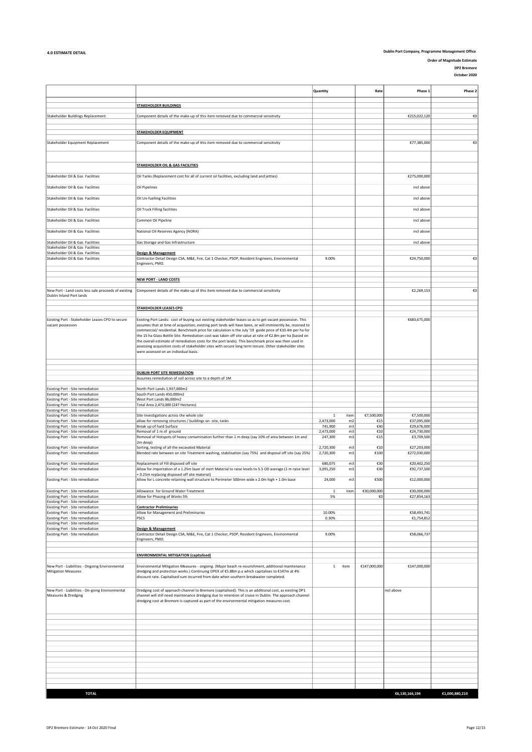Order of Magnitude Estimate DP2 Bremore

|                                                                                    |                                                                                                                                                                                                                                                                                             | Quantity               |                | Rate              | Phase 1                     | Phase 2        |
|------------------------------------------------------------------------------------|---------------------------------------------------------------------------------------------------------------------------------------------------------------------------------------------------------------------------------------------------------------------------------------------|------------------------|----------------|-------------------|-----------------------------|----------------|
|                                                                                    | <b>STAKEHOLDER BUILDINGS</b>                                                                                                                                                                                                                                                                |                        |                |                   |                             |                |
| Stakeholder Buildings Replacement                                                  | Component details of the make-up of this item removed due to commercial sensitivity                                                                                                                                                                                                         |                        |                |                   | €215,022,120                | €0             |
|                                                                                    |                                                                                                                                                                                                                                                                                             |                        |                |                   |                             |                |
|                                                                                    | <b>STAKEHOLDER EQUIPMENT</b>                                                                                                                                                                                                                                                                |                        |                |                   |                             |                |
| Stakeholder Equipment Replacement                                                  | Component details of the make-up of this item removed due to commercial sensitivity                                                                                                                                                                                                         |                        |                |                   | €77,385,000                 | €0             |
|                                                                                    |                                                                                                                                                                                                                                                                                             |                        |                |                   |                             |                |
|                                                                                    | <b>STAKEHOLDER OIL &amp; GAS FACILITIES</b>                                                                                                                                                                                                                                                 |                        |                |                   |                             |                |
| Stakeholder Oil & Gas Facilities                                                   | Oil Tanks (Replacement cost for all of current oil facilities, excluding land and jetties)                                                                                                                                                                                                  |                        |                |                   | €275,000,000                |                |
| Stakeholder Oil & Gas Facilities                                                   | Oil Pipelines                                                                                                                                                                                                                                                                               |                        |                |                   | incl above                  |                |
| Stakeholder Oil & Gas Facilities                                                   | Oil Un-fuelling Facilities                                                                                                                                                                                                                                                                  |                        |                |                   | incl above                  |                |
| Stakeholder Oil & Gas Facilities                                                   | Oil Truck Filling facilities                                                                                                                                                                                                                                                                |                        |                |                   | incl above                  |                |
| Stakeholder Oil & Gas Facilities                                                   | Common Oil Pipeline                                                                                                                                                                                                                                                                         |                        |                |                   | incl above                  |                |
| Stakeholder Oil & Gas Facilities                                                   | National Oil Reserves Agency (NORA)                                                                                                                                                                                                                                                         |                        |                |                   | incl above                  |                |
| Stakeholder Oil & Gas Facilities<br>Stakeholder Oil & Gas Facilities               | Gas Storage and Gas Infrastructure                                                                                                                                                                                                                                                          |                        |                |                   | incl above                  |                |
| Stakeholder Oil & Gas Facilities                                                   | Design & Management                                                                                                                                                                                                                                                                         |                        |                |                   |                             |                |
| Stakeholder Oil & Gas Facilities                                                   | Contractor Detail Design CSA, M&E, Fire, Cat 1 Checker, PSDP, Resident Engineers, Environmental<br>Engineers, PMO.                                                                                                                                                                          | 9.00%                  |                |                   | €24,750,000                 | €0             |
|                                                                                    |                                                                                                                                                                                                                                                                                             |                        |                |                   |                             |                |
|                                                                                    | <b>NEW PORT - LAND COSTS</b>                                                                                                                                                                                                                                                                |                        |                |                   |                             |                |
|                                                                                    |                                                                                                                                                                                                                                                                                             |                        |                |                   |                             |                |
| New Port - Land costs less sale proceeds of existing<br>Dublin Inland Port lands   | Component details of the make-up of this item removed due to commercial sensitivity                                                                                                                                                                                                         |                        |                |                   | €2,269,153                  | €0             |
|                                                                                    | <b>STAKEHOLDER LEASES CPO</b>                                                                                                                                                                                                                                                               |                        |                |                   |                             |                |
| Existing Port - Stakeholder Leases CPO to secure                                   | Existing Port Lands: cost of buying out existing stakeholder leases so as to get vacant possession. This                                                                                                                                                                                    |                        |                |                   | €683,675,000                |                |
| vacant possession                                                                  | assumes that at time of acquisition, existing port lands will have been, or will imminently be, rezoned to<br>commercial/ residential. Benchmark price for calculation is the July '19 guide price of €10.4m per ha for                                                                     |                        |                |                   |                             |                |
|                                                                                    | the 15 ha Glass Bottle Site. Remediation cost was taken off site value at rate of €2.8m per ha (based on                                                                                                                                                                                    |                        |                |                   |                             |                |
|                                                                                    | the overall estimate of remediation costs for the port lands). This benchmark price was then used in                                                                                                                                                                                        |                        |                |                   |                             |                |
|                                                                                    | assessing acquisition costs of stakeholder sites with secure long term tenure. Other stakeholder sites<br>were assessed on an individual basis.                                                                                                                                             |                        |                |                   |                             |                |
|                                                                                    |                                                                                                                                                                                                                                                                                             |                        |                |                   |                             |                |
|                                                                                    |                                                                                                                                                                                                                                                                                             |                        |                |                   |                             |                |
|                                                                                    | <b>DUBLIN PORT SITE REMEDIATION</b><br>Assumes remediation of soil across site to a depth of 1M                                                                                                                                                                                             |                        |                |                   |                             |                |
|                                                                                    |                                                                                                                                                                                                                                                                                             |                        |                |                   |                             |                |
| Existing Port - Site remediation<br>Existing Port - Site remediation               | North Port Lands 1,937,000m2<br>South Port Lands 450,000m2                                                                                                                                                                                                                                  |                        |                |                   |                             |                |
| <b>Existing Port - Site remediation</b>                                            | West Port Lands 86,000m2                                                                                                                                                                                                                                                                    |                        |                |                   |                             |                |
| <b>Existing Port - Site remediation</b><br>Existing Port - Site remediation        | Total Area 2,473,000 (247 Hectares)                                                                                                                                                                                                                                                         |                        |                |                   |                             |                |
| Existing Port - Site remediation                                                   | Site Investigations across the whole site                                                                                                                                                                                                                                                   | 1                      | item           | €7,500,000        | €7,500,000                  |                |
| <b>Existing Port - Site remediation</b><br><b>Existing Port - Site remediation</b> | allow for removing structures / buildings on -site, tanks<br>Break up of hard Surface                                                                                                                                                                                                       | 2,473,000<br>741,900   | m2<br>m3       | €15<br>€40        | €37,095,000<br>€29,676,000  |                |
| Existing Port - Site remediation                                                   | Removal of 1 m of ground                                                                                                                                                                                                                                                                    | 2,473,000              | m3             | €10               | €24,730,000                 |                |
| Existing Port - Site remediation                                                   | Removal of Hotspots of heavy contamination further than 1 m deep (say 10% of area between 1m and<br>2m deep)                                                                                                                                                                                | 247,300                | m3             | €15               | €3,709,500                  |                |
| Existing Port - Site remediation<br>Existing Port - Site remediation               | Sorting, testing of all the excavated Material<br>Blended rate between on site Treatment washing, stabilisation (say 75%) and disposal off site (say 25%)                                                                                                                                   | 2,720,300<br>2,720,300 | m3             | €10<br>€100       | €27,203,000<br>€272,030,000 |                |
| Existing Port - Site remediation                                                   | Replacement of Fill disposed off site                                                                                                                                                                                                                                                       | 680,075                | m3<br>m3       | €30               | €20,402,250                 |                |
| Existing Port - Site remediation                                                   | Allow for importation of a 1.25m layer of inert Material to raise levels to 5.5 OD average (1 m raise level<br>+ 0.25m replacing disposed off site material)                                                                                                                                | 3,091,250              | m <sub>3</sub> | €30               | €92,737,500                 |                |
| Existing Port - Site remediation                                                   | Allow for L concrete retaining wall structure to Perimeter 500mm wide x 2.0m high + 1.0m base                                                                                                                                                                                               | 24,000                 | m <sub>3</sub> | €500              | €12,000,000                 |                |
| Existing Port - Site remediation<br>Existing Port - Site remediation               | Allowance for Ground Water Treatment<br>Allow for Phasing of Works 5%                                                                                                                                                                                                                       | $\mathbf{1}$<br>5%     | item           | €30,000,000<br>€0 | €30,000,000<br>€27,854,163  |                |
| Existing Port - Site remediation                                                   |                                                                                                                                                                                                                                                                                             |                        |                |                   |                             |                |
| Existing Port - Site remediation<br>Existing Port - Site remediation               | <b>Contractor Preliminaries</b><br>Allow for Management and Preliminaries                                                                                                                                                                                                                   | 10.00%                 |                |                   | €58,493,741                 |                |
| Existing Port - Site remediation                                                   | PSCS                                                                                                                                                                                                                                                                                        | 0.30%                  |                |                   | €1,754,812                  |                |
| Existing Port - Site remediation<br>Existing Port - Site remediation               | <b>Design &amp; Management</b>                                                                                                                                                                                                                                                              |                        |                |                   |                             |                |
| Existing Port - Site remediation                                                   | Contractor Detail Design CSA, M&E, Fire, Cat 1 Checker, PSDP, Resident Engineers, Environmental<br>Engineers, PMO.                                                                                                                                                                          | 9.00%                  |                |                   | €58,066,737                 |                |
|                                                                                    |                                                                                                                                                                                                                                                                                             |                        |                |                   |                             |                |
|                                                                                    | <b>ENVIRONMENTAL MITIGATION (capitalised)</b>                                                                                                                                                                                                                                               |                        |                |                   |                             |                |
| New Port - Liabilities - Ongoing Environmental<br><b>Mitigation Measures</b>       | Environmental Mitigation Measures - ongoing. (Major beach re-nourishment, additional maintenance<br>dredging and protection works.) Continuing OPEX of €5.88m p.a which capitalises to €147m at 4%<br>discount rate. Capitalised sum incurred from date when southern breakwater completed. | $\mathbf{1}$           | item           | €147,000,000      | €147,000,000                |                |
|                                                                                    |                                                                                                                                                                                                                                                                                             |                        |                |                   |                             |                |
| New Port - Liabilities - On-going Environmental<br>Measures & Dredging             | Dredging cost of approach channel to Bremore (capitalised). This is an additional cost, as existing DP1<br>channel will still need maintenance dredging due to retention of cruise in Dublin. The approach channel                                                                          |                        |                |                   | incl above                  |                |
|                                                                                    | dredging cost at Bremore is captured as part of the environmental mitigation measures cost.                                                                                                                                                                                                 |                        |                |                   |                             |                |
|                                                                                    |                                                                                                                                                                                                                                                                                             |                        |                |                   |                             |                |
|                                                                                    |                                                                                                                                                                                                                                                                                             |                        |                |                   |                             |                |
|                                                                                    |                                                                                                                                                                                                                                                                                             |                        |                |                   |                             |                |
|                                                                                    |                                                                                                                                                                                                                                                                                             |                        |                |                   |                             |                |
|                                                                                    |                                                                                                                                                                                                                                                                                             |                        |                |                   |                             |                |
|                                                                                    |                                                                                                                                                                                                                                                                                             |                        |                |                   |                             |                |
|                                                                                    |                                                                                                                                                                                                                                                                                             |                        |                |                   |                             |                |
|                                                                                    |                                                                                                                                                                                                                                                                                             |                        |                |                   |                             |                |
|                                                                                    |                                                                                                                                                                                                                                                                                             |                        |                |                   |                             |                |
| <b>TOTAL</b>                                                                       |                                                                                                                                                                                                                                                                                             |                        |                |                   | €6,130,166,194              | €1,000,880,210 |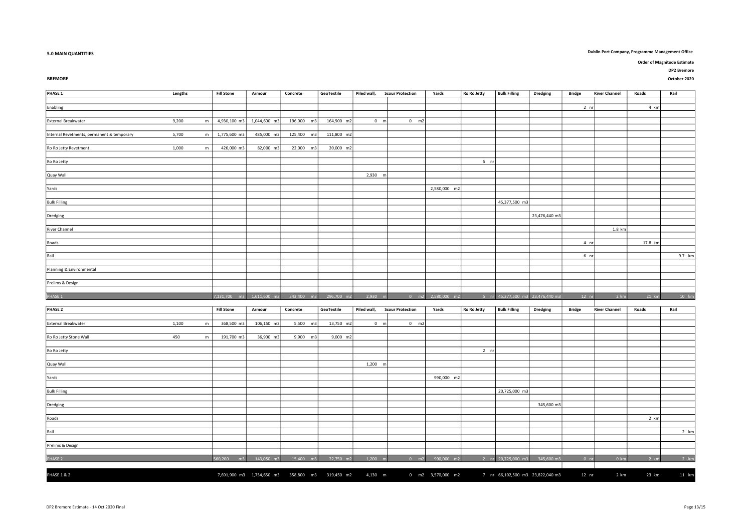### 5.0 MAIN QUANTITIES Dublin Port Company, Programme Management Office

BREMORE Particles and the control of the control of the control of the control of the control october 2020 october 2020 october 2020 october 2020 october 2020 october 2020 october 2020 october 2020 october 2020 october 202

| PHASE 1                                    | Lengths            | <b>Fill Stone</b>         | Armour       | Concrete   | GeoTextile | Piled wall,   | <b>Scour Protection</b> | Yards        | Ro Ro Jetty | <b>Bulk Filling</b> | <b>Dredging</b> | <b>Bridge</b>   | <b>River Channel</b> | Roads   | Rail   |
|--------------------------------------------|--------------------|---------------------------|--------------|------------|------------|---------------|-------------------------|--------------|-------------|---------------------|-----------------|-----------------|----------------------|---------|--------|
|                                            |                    |                           |              |            |            |               |                         |              |             |                     |                 |                 |                      |         |        |
| Enabling                                   |                    |                           |              |            |            |               |                         |              |             |                     |                 | 2 <sub>nr</sub> |                      | 4 km    |        |
|                                            |                    |                           |              |            |            |               |                         |              |             |                     |                 |                 |                      |         |        |
| External Breakwater                        | 9,200<br>${\sf m}$ | 4,930,100 m3              | 1,044,600 m3 | 196,000 m3 | 164,900 m2 | $0 \text{ m}$ | $0$ m2                  |              |             |                     |                 |                 |                      |         |        |
|                                            |                    |                           |              |            |            |               |                         |              |             |                     |                 |                 |                      |         |        |
| Internal Revetments, permanent & temporary | 5,700<br>m         | 1,775,600 m3              | 485,000 m3   | 125,400 m3 | 111,800 m2 |               |                         |              |             |                     |                 |                 |                      |         |        |
|                                            |                    |                           |              |            |            |               |                         |              |             |                     |                 |                 |                      |         |        |
| Ro Ro Jetty Revetment                      | 1,000<br>m         | 426,000 m3                | 82,000 m3    | 22,000 m3  | 20,000 m2  |               |                         |              |             |                     |                 |                 |                      |         |        |
|                                            |                    |                           |              |            |            |               |                         |              |             |                     |                 |                 |                      |         |        |
| Ro Ro Jetty                                |                    |                           |              |            |            |               |                         |              | $5$ nr      |                     |                 |                 |                      |         |        |
|                                            |                    |                           |              |            |            | 2,930 m       |                         |              |             |                     |                 |                 |                      |         |        |
| Quay Wall                                  |                    |                           |              |            |            |               |                         |              |             |                     |                 |                 |                      |         |        |
| Yards                                      |                    |                           |              |            |            |               |                         | 2,580,000 m2 |             |                     |                 |                 |                      |         |        |
|                                            |                    |                           |              |            |            |               |                         |              |             |                     |                 |                 |                      |         |        |
| <b>Bulk Filling</b>                        |                    |                           |              |            |            |               |                         |              |             | 45,377,500 m3       |                 |                 |                      |         |        |
|                                            |                    |                           |              |            |            |               |                         |              |             |                     |                 |                 |                      |         |        |
| Dredging                                   |                    |                           |              |            |            |               |                         |              |             |                     | 23,476,440 m3   |                 |                      |         |        |
|                                            |                    |                           |              |            |            |               |                         |              |             |                     |                 |                 |                      |         |        |
| <b>River Channel</b>                       |                    |                           |              |            |            |               |                         |              |             |                     |                 |                 | 1.8 km               |         |        |
|                                            |                    |                           |              |            |            |               |                         |              |             |                     |                 |                 |                      |         |        |
| Roads                                      |                    |                           |              |            |            |               |                         |              |             |                     |                 | 4 <sub>nr</sub> |                      | 17.8 km |        |
|                                            |                    |                           |              |            |            |               |                         |              |             |                     |                 |                 |                      |         |        |
| Rail                                       |                    |                           |              |            |            |               |                         |              |             |                     |                 | 6 <sub>nr</sub> |                      |         | 9.7 km |
|                                            |                    |                           |              |            |            |               |                         |              |             |                     |                 |                 |                      |         |        |
| Planning & Environmental                   |                    |                           |              |            |            |               |                         |              |             |                     |                 |                 |                      |         |        |
|                                            |                    |                           |              |            |            |               |                         |              |             |                     |                 |                 |                      |         |        |
| Prelims & Design                           |                    |                           |              |            |            |               |                         |              |             |                     |                 |                 |                      |         |        |
| PHASE 1                                    |                    | 7,131,700                 | 1.611.600    | 343,400    | 296.700    | 2.930         |                         | 2.580.000    |             | 45.377.500 m        | 23,476,440 m3   | 12 <sub>n</sub> | 2 km                 | $21$ k  | 10 km  |
|                                            |                    |                           |              |            |            |               |                         |              |             |                     |                 |                 |                      |         |        |
| PHASE 2                                    |                    | <b>Fill Stone</b>         | Armour       | Concrete   | GeoTextile | Piled wall,   | <b>Scour Protection</b> | Yards        | Ro Ro Jetty | <b>Bulk Filling</b> | <b>Dredging</b> | <b>Bridge</b>   | <b>River Channel</b> | Roads   | Rail   |
|                                            |                    |                           |              |            |            |               |                         |              |             |                     |                 |                 |                      |         |        |
| External Breakwater                        | 1,100<br>m         | 368,500 m3                | 106,150 m3   | 5,500 m3   | 13,750 m2  | $0 \text{ m}$ | $0 \text{ m2}$          |              |             |                     |                 |                 |                      |         |        |
|                                            |                    |                           |              |            |            |               |                         |              |             |                     |                 |                 |                      |         |        |
| Ro Ro Jetty Stone Wall                     | 450<br>${\sf m}$   | 191,700 m3                | 36,900 m3    | 9,900 m3   | 9,000 m2   |               |                         |              |             |                     |                 |                 |                      |         |        |
|                                            |                    |                           |              |            |            |               |                         |              |             |                     |                 |                 |                      |         |        |
| Ro Ro Jetty                                |                    |                           |              |            |            |               |                         |              | $2$ nr      |                     |                 |                 |                      |         |        |
|                                            |                    |                           |              |            |            |               |                         |              |             |                     |                 |                 |                      |         |        |
| Quay Wall                                  |                    |                           |              |            |            | $1,200$ m     |                         |              |             |                     |                 |                 |                      |         |        |
|                                            |                    |                           |              |            |            |               |                         |              |             |                     |                 |                 |                      |         |        |
| Yards                                      |                    |                           |              |            |            |               |                         | 990,000 m2   |             |                     |                 |                 |                      |         |        |
|                                            |                    |                           |              |            |            |               |                         |              |             |                     |                 |                 |                      |         |        |
| <b>Bulk Filling</b>                        |                    |                           |              |            |            |               |                         |              |             | 20,725,000 m3       |                 |                 |                      |         |        |
|                                            |                    |                           |              |            |            |               |                         |              |             |                     | 345,600 m3      |                 |                      |         |        |
| Dredging                                   |                    |                           |              |            |            |               |                         |              |             |                     |                 |                 |                      |         |        |
| Roads                                      |                    |                           |              |            |            |               |                         |              |             |                     |                 |                 |                      | 2 km    |        |
|                                            |                    |                           |              |            |            |               |                         |              |             |                     |                 |                 |                      |         |        |
|                                            |                    |                           |              |            |            |               |                         |              |             |                     |                 |                 |                      |         | 2 km   |
|                                            |                    |                           |              |            |            |               |                         |              |             |                     |                 |                 |                      |         |        |
| Rail                                       |                    |                           |              |            |            |               |                         |              |             |                     |                 |                 |                      |         |        |
| Prelims & Design                           |                    |                           |              |            |            |               |                         |              |             |                     |                 |                 |                      |         |        |
|                                            |                    |                           |              |            |            |               |                         |              |             |                     |                 |                 |                      |         |        |
| PHASE 2                                    |                    | 560,200<br>m <sub>3</sub> | 143,050 m3   | 15,400 m3  | 22,750 m2  | $1,200$ m     | $0$ m2                  | 990,000 m2   |             | 2 nr 20,725,000 m3  | 345,600 m3      | 0 <sub>nr</sub> | 0 km                 | 2 km    |        |
|                                            |                    |                           |              |            |            |               |                         |              |             |                     |                 |                 |                      |         | 2 km   |

DP2 Bremore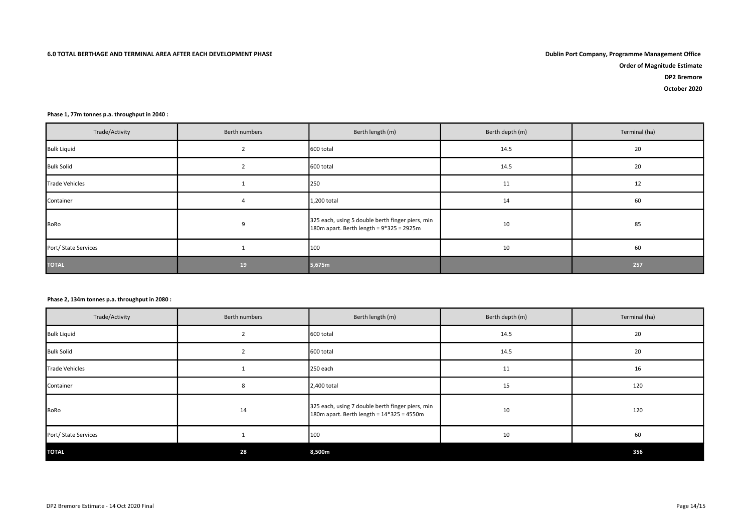Order of Magnitude Estimate

DP2 Bremore

October 2020

#### Phase 1, 77m tonnes p.a. throughput in 2040 :

| Trade/Activity        | Berth numbers | Berth length (m)                                                                                | Berth depth (m) | Terminal (ha) |
|-----------------------|---------------|-------------------------------------------------------------------------------------------------|-----------------|---------------|
| <b>Bulk Liquid</b>    |               | 600 total                                                                                       | 14.5            | 20            |
| <b>Bulk Solid</b>     |               | 600 total                                                                                       | 14.5            | 20            |
| <b>Trade Vehicles</b> |               | 250                                                                                             | 11              | 12            |
| Container             |               | 1,200 total                                                                                     | 14              | 60            |
| RoRo                  | 9             | 325 each, using 5 double berth finger piers, min<br>180m apart. Berth length = $9*325 = 2925$ m | 10              | 85            |
| Port/ State Services  |               | 100                                                                                             | 10              | 60            |
| <b>TOTAL</b>          | 19            | 5,675m                                                                                          |                 | 257           |

#### Phase 2, 134m tonnes p.a. throughput in 2080 :

| Trade/Activity        | Berth numbers | Berth length (m)                                                                              | Berth depth (m) | Terminal (ha) |
|-----------------------|---------------|-----------------------------------------------------------------------------------------------|-----------------|---------------|
| <b>Bulk Liquid</b>    |               | 600 total                                                                                     | 14.5            | 20            |
| <b>Bulk Solid</b>     |               | 600 total                                                                                     | 14.5            | 20            |
| <b>Trade Vehicles</b> |               | 250 each                                                                                      | 11              | 16            |
| Container             |               | 2,400 total                                                                                   | 15              | 120           |
| RoRo                  | 14            | 325 each, using 7 double berth finger piers, min<br>180m apart. Berth length = 14*325 = 4550m | 10              | 120           |
| Port/ State Services  |               | 100                                                                                           | 10              | 60            |
| <b>TOTAL</b>          | 28            | 8,500m                                                                                        |                 | 356           |